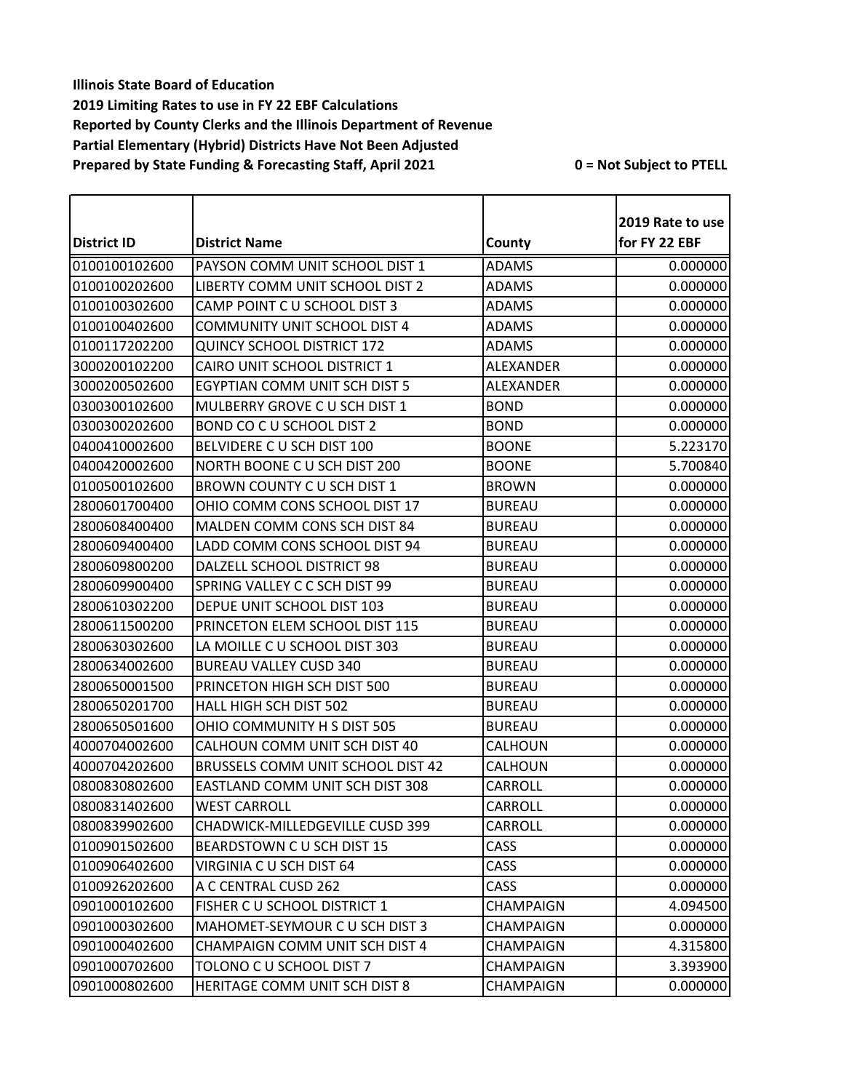| District ID   | <b>District Name</b>                |                  | 2019 Rate to use<br>for FY 22 EBF |
|---------------|-------------------------------------|------------------|-----------------------------------|
|               |                                     | County           |                                   |
| 0100100102600 | PAYSON COMM UNIT SCHOOL DIST 1      | <b>ADAMS</b>     | 0.000000                          |
| 0100100202600 | LIBERTY COMM UNIT SCHOOL DIST 2     | <b>ADAMS</b>     | 0.000000                          |
| 0100100302600 | CAMP POINT C U SCHOOL DIST 3        | <b>ADAMS</b>     | 0.000000                          |
| 0100100402600 | <b>COMMUNITY UNIT SCHOOL DIST 4</b> | <b>ADAMS</b>     | 0.000000                          |
| 0100117202200 | <b>QUINCY SCHOOL DISTRICT 172</b>   | <b>ADAMS</b>     | 0.000000                          |
| 3000200102200 | CAIRO UNIT SCHOOL DISTRICT 1        | ALEXANDER        | 0.000000                          |
| 3000200502600 | EGYPTIAN COMM UNIT SCH DIST 5       | <b>ALEXANDER</b> | 0.000000                          |
| 0300300102600 | MULBERRY GROVE C U SCH DIST 1       | <b>BOND</b>      | 0.000000                          |
| 0300300202600 | BOND CO C U SCHOOL DIST 2           | <b>BOND</b>      | 0.000000                          |
| 0400410002600 | BELVIDERE C U SCH DIST 100          | <b>BOONE</b>     | 5.223170                          |
| 0400420002600 | NORTH BOONE C U SCH DIST 200        | <b>BOONE</b>     | 5.700840                          |
| 0100500102600 | BROWN COUNTY CU SCH DIST 1          | <b>BROWN</b>     | 0.000000                          |
| 2800601700400 | OHIO COMM CONS SCHOOL DIST 17       | <b>BUREAU</b>    | 0.000000                          |
| 2800608400400 | MALDEN COMM CONS SCH DIST 84        | <b>BUREAU</b>    | 0.000000                          |
| 2800609400400 | LADD COMM CONS SCHOOL DIST 94       | <b>BUREAU</b>    | 0.000000                          |
| 2800609800200 | DALZELL SCHOOL DISTRICT 98          | <b>BUREAU</b>    | 0.000000                          |
| 2800609900400 | SPRING VALLEY C C SCH DIST 99       | <b>BUREAU</b>    | 0.000000                          |
| 2800610302200 | DEPUE UNIT SCHOOL DIST 103          | <b>BUREAU</b>    | 0.000000                          |
| 2800611500200 | PRINCETON ELEM SCHOOL DIST 115      | <b>BUREAU</b>    | 0.000000                          |
| 2800630302600 | LA MOILLE C U SCHOOL DIST 303       | <b>BUREAU</b>    | 0.000000                          |
| 2800634002600 | <b>BUREAU VALLEY CUSD 340</b>       | <b>BUREAU</b>    | 0.000000                          |
| 2800650001500 | PRINCETON HIGH SCH DIST 500         | <b>BUREAU</b>    | 0.000000                          |
| 2800650201700 | HALL HIGH SCH DIST 502              | <b>BUREAU</b>    | 0.000000                          |
| 2800650501600 | OHIO COMMUNITY H S DIST 505         | <b>BUREAU</b>    | 0.000000                          |
| 4000704002600 | CALHOUN COMM UNIT SCH DIST 40       | CALHOUN          | 0.000000                          |
| 4000704202600 | BRUSSELS COMM UNIT SCHOOL DIST 42   | CALHOUN          | 0.000000                          |
| 0800830802600 | EASTLAND COMM UNIT SCH DIST 308     | CARROLL          | 0.000000                          |
| 0800831402600 | <b>WEST CARROLL</b>                 | CARROLL          | 0.000000                          |
| 0800839902600 | CHADWICK-MILLEDGEVILLE CUSD 399     | CARROLL          | 0.000000                          |
| 0100901502600 | BEARDSTOWN C U SCH DIST 15          | CASS             | 0.000000                          |
| 0100906402600 | VIRGINIA C U SCH DIST 64            | <b>CASS</b>      | 0.000000                          |
| 0100926202600 | A C CENTRAL CUSD 262                | CASS             | 0.000000                          |
| 0901000102600 | FISHER C U SCHOOL DISTRICT 1        | CHAMPAIGN        | 4.094500                          |
| 0901000302600 | MAHOMET-SEYMOUR C U SCH DIST 3      | CHAMPAIGN        | 0.000000                          |
| 0901000402600 | CHAMPAIGN COMM UNIT SCH DIST 4      | CHAMPAIGN        | 4.315800                          |
| 0901000702600 | TOLONO C U SCHOOL DIST 7            | CHAMPAIGN        | 3.393900                          |
| 0901000802600 | HERITAGE COMM UNIT SCH DIST 8       | CHAMPAIGN        | 0.000000                          |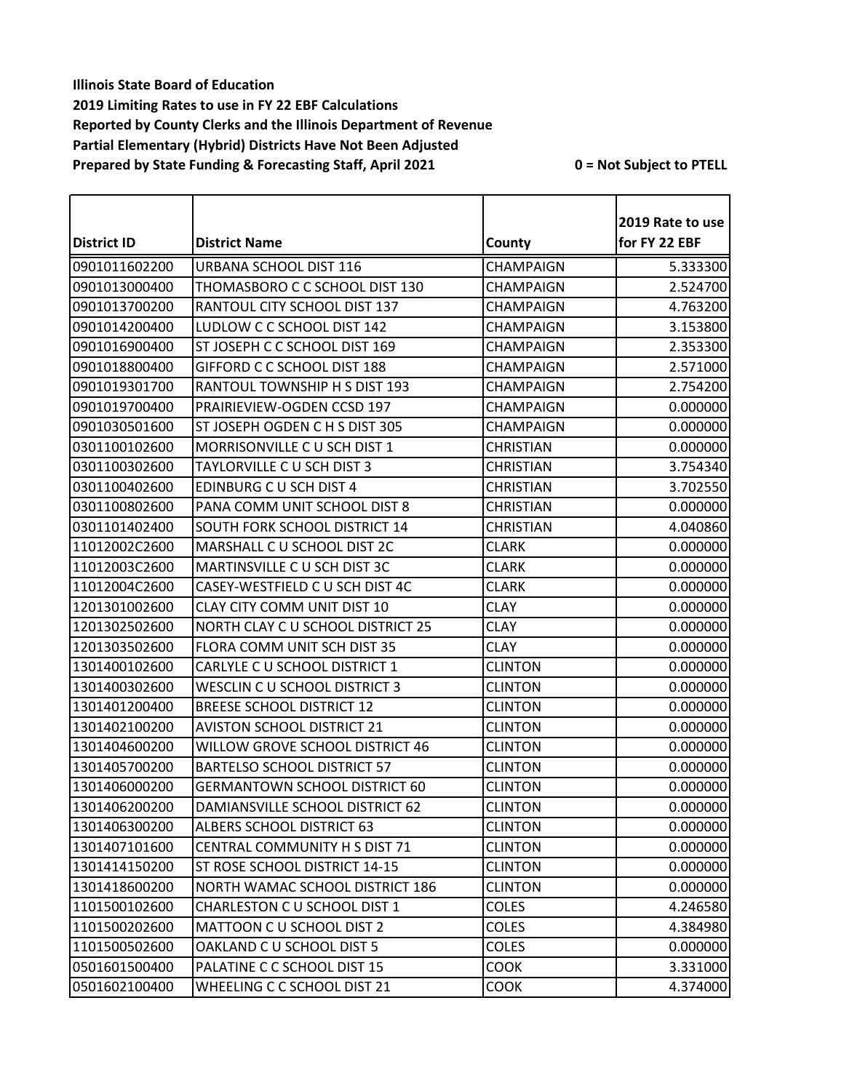| <b>District ID</b> | <b>District Name</b>                 | County           | 2019 Rate to use<br>for FY 22 EBF |
|--------------------|--------------------------------------|------------------|-----------------------------------|
| 0901011602200      | URBANA SCHOOL DIST 116               | CHAMPAIGN        | 5.333300                          |
| 0901013000400      | THOMASBORO C C SCHOOL DIST 130       | CHAMPAIGN        | 2.524700                          |
| 0901013700200      | RANTOUL CITY SCHOOL DIST 137         | CHAMPAIGN        | 4.763200                          |
| 0901014200400      | LUDLOW C C SCHOOL DIST 142           | CHAMPAIGN        | 3.153800                          |
| 0901016900400      | ST JOSEPH C C SCHOOL DIST 169        | CHAMPAIGN        | 2.353300                          |
| 0901018800400      | GIFFORD C C SCHOOL DIST 188          | <b>CHAMPAIGN</b> | 2.571000                          |
| 0901019301700      | RANTOUL TOWNSHIP H S DIST 193        | CHAMPAIGN        | 2.754200                          |
| 0901019700400      | PRAIRIEVIEW-OGDEN CCSD 197           | CHAMPAIGN        | 0.000000                          |
| 0901030501600      | ST JOSEPH OGDEN C H S DIST 305       | CHAMPAIGN        | 0.000000                          |
| 0301100102600      | MORRISONVILLE C U SCH DIST 1         | <b>CHRISTIAN</b> | 0.000000                          |
| 0301100302600      | TAYLORVILLE C U SCH DIST 3           | <b>CHRISTIAN</b> | 3.754340                          |
| 0301100402600      | <b>EDINBURG C U SCH DIST 4</b>       | <b>CHRISTIAN</b> | 3.702550                          |
| 0301100802600      | PANA COMM UNIT SCHOOL DIST 8         | <b>CHRISTIAN</b> | 0.000000                          |
| 0301101402400      | SOUTH FORK SCHOOL DISTRICT 14        | <b>CHRISTIAN</b> | 4.040860                          |
| 11012002C2600      | MARSHALL C U SCHOOL DIST 2C          | <b>CLARK</b>     | 0.000000                          |
| 11012003C2600      | MARTINSVILLE C U SCH DIST 3C         | <b>CLARK</b>     | 0.000000                          |
| 11012004C2600      | CASEY-WESTFIELD C U SCH DIST 4C      | <b>CLARK</b>     | 0.000000                          |
| 1201301002600      | CLAY CITY COMM UNIT DIST 10          | <b>CLAY</b>      | 0.000000                          |
| 1201302502600      | NORTH CLAY C U SCHOOL DISTRICT 25    | <b>CLAY</b>      | 0.000000                          |
| 1201303502600      | FLORA COMM UNIT SCH DIST 35          | <b>CLAY</b>      | 0.000000                          |
| 1301400102600      | CARLYLE C U SCHOOL DISTRICT 1        | <b>CLINTON</b>   | 0.000000                          |
| 1301400302600      | WESCLIN C U SCHOOL DISTRICT 3        | <b>CLINTON</b>   | 0.000000                          |
| 1301401200400      | <b>BREESE SCHOOL DISTRICT 12</b>     | <b>CLINTON</b>   | 0.000000                          |
| 1301402100200      | <b>AVISTON SCHOOL DISTRICT 21</b>    | <b>CLINTON</b>   | 0.000000                          |
| 1301404600200      | WILLOW GROVE SCHOOL DISTRICT 46      | <b>CLINTON</b>   | 0.000000                          |
| 1301405700200      | <b>BARTELSO SCHOOL DISTRICT 57</b>   | <b>CLINTON</b>   | 0.000000                          |
| 1301406000200      | <b>GERMANTOWN SCHOOL DISTRICT 60</b> | <b>CLINTON</b>   | 0.000000                          |
| 1301406200200      | DAMIANSVILLE SCHOOL DISTRICT 62      | <b>CLINTON</b>   | 0.000000                          |
| 1301406300200      | ALBERS SCHOOL DISTRICT 63            | <b>CLINTON</b>   | 0.000000                          |
| 1301407101600      | CENTRAL COMMUNITY H S DIST 71        | <b>CLINTON</b>   | 0.000000                          |
| 1301414150200      | ST ROSE SCHOOL DISTRICT 14-15        | <b>CLINTON</b>   | 0.000000                          |
| 1301418600200      | NORTH WAMAC SCHOOL DISTRICT 186      | <b>CLINTON</b>   | 0.000000                          |
| 1101500102600      | CHARLESTON C U SCHOOL DIST 1         | <b>COLES</b>     | 4.246580                          |
| 1101500202600      | MATTOON C U SCHOOL DIST 2            | <b>COLES</b>     | 4.384980                          |
| 1101500502600      | OAKLAND C U SCHOOL DIST 5            | COLES            | 0.000000                          |
| 0501601500400      | PALATINE C C SCHOOL DIST 15          | <b>COOK</b>      | 3.331000                          |
| 0501602100400      | WHEELING C C SCHOOL DIST 21          | <b>COOK</b>      | 4.374000                          |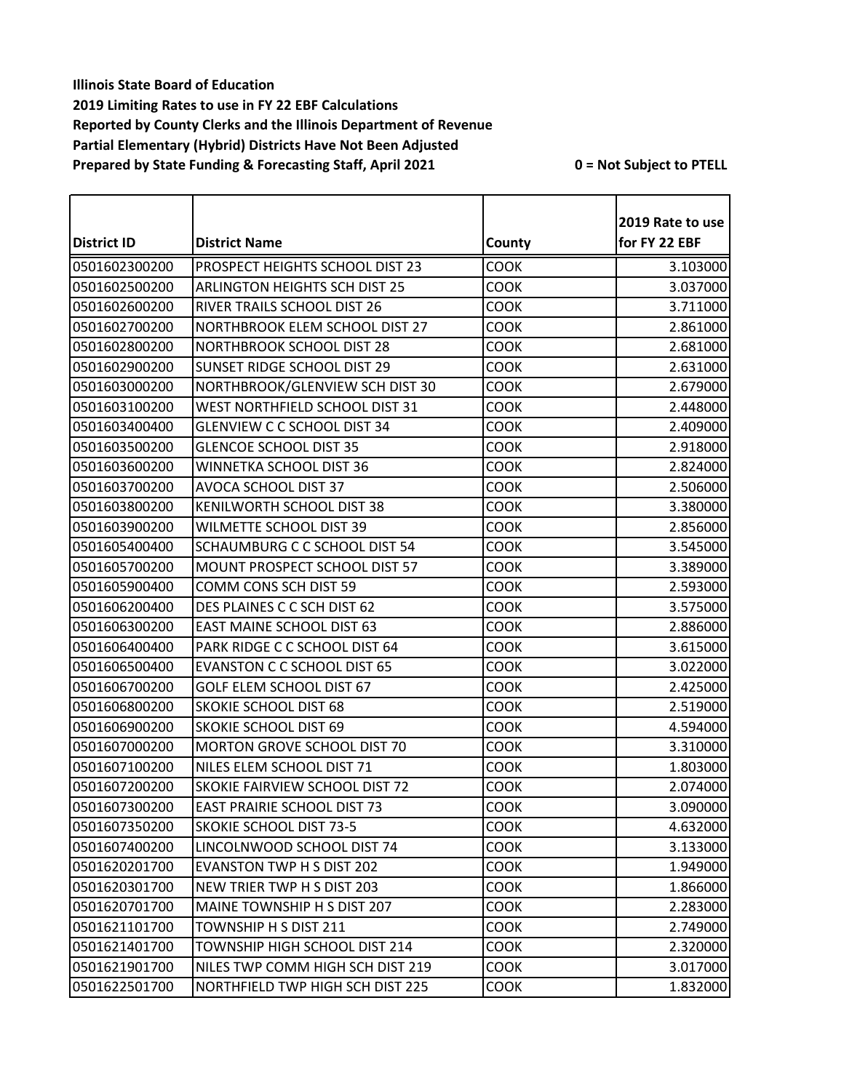| <b>District ID</b> | <b>District Name</b>                  | County      | 2019 Rate to use<br>for FY 22 EBF |
|--------------------|---------------------------------------|-------------|-----------------------------------|
|                    |                                       |             |                                   |
| 0501602300200      | PROSPECT HEIGHTS SCHOOL DIST 23       | <b>COOK</b> | 3.103000                          |
| 0501602500200      | <b>ARLINGTON HEIGHTS SCH DIST 25</b>  | <b>COOK</b> | 3.037000                          |
| 0501602600200      | RIVER TRAILS SCHOOL DIST 26           | <b>COOK</b> | 3.711000                          |
| 0501602700200      | NORTHBROOK ELEM SCHOOL DIST 27        | <b>COOK</b> | 2.861000                          |
| 0501602800200      | NORTHBROOK SCHOOL DIST 28             | COOK        | 2.681000                          |
| 0501602900200      | SUNSET RIDGE SCHOOL DIST 29           | <b>COOK</b> | 2.631000                          |
| 0501603000200      | NORTHBROOK/GLENVIEW SCH DIST 30       | <b>COOK</b> | 2.679000                          |
| 0501603100200      | WEST NORTHFIELD SCHOOL DIST 31        | <b>COOK</b> | 2.448000                          |
| 0501603400400      | <b>GLENVIEW C C SCHOOL DIST 34</b>    | <b>COOK</b> | 2.409000                          |
| 0501603500200      | <b>GLENCOE SCHOOL DIST 35</b>         | COOK        | 2.918000                          |
| 0501603600200      | WINNETKA SCHOOL DIST 36               | <b>COOK</b> | 2.824000                          |
| 0501603700200      | AVOCA SCHOOL DIST 37                  | <b>COOK</b> | 2.506000                          |
| 0501603800200      | KENILWORTH SCHOOL DIST 38             | <b>COOK</b> | 3.380000                          |
| 0501603900200      | WILMETTE SCHOOL DIST 39               | <b>COOK</b> | 2.856000                          |
| 0501605400400      | <b>SCHAUMBURG C C SCHOOL DIST 54</b>  | <b>COOK</b> | 3.545000                          |
| 0501605700200      | MOUNT PROSPECT SCHOOL DIST 57         | COOK        | 3.389000                          |
| 0501605900400      | COMM CONS SCH DIST 59                 | <b>COOK</b> | 2.593000                          |
| 0501606200400      | DES PLAINES C C SCH DIST 62           | <b>COOK</b> | 3.575000                          |
| 0501606300200      | <b>EAST MAINE SCHOOL DIST 63</b>      | COOK        | 2.886000                          |
| 0501606400400      | PARK RIDGE C C SCHOOL DIST 64         | <b>COOK</b> | 3.615000                          |
| 0501606500400      | <b>EVANSTON C C SCHOOL DIST 65</b>    | <b>COOK</b> | 3.022000                          |
| 0501606700200      | <b>GOLF ELEM SCHOOL DIST 67</b>       | <b>COOK</b> | 2.425000                          |
| 0501606800200      | <b>SKOKIE SCHOOL DIST 68</b>          | <b>COOK</b> | 2.519000                          |
| 0501606900200      | <b>SKOKIE SCHOOL DIST 69</b>          | COOK        | 4.594000                          |
| 0501607000200      | MORTON GROVE SCHOOL DIST 70           | <b>COOK</b> | 3.310000                          |
| 0501607100200      | NILES ELEM SCHOOL DIST 71             | <b>COOK</b> | 1.803000                          |
| 0501607200200      | <b>SKOKIE FAIRVIEW SCHOOL DIST 72</b> | <b>COOK</b> | 2.074000                          |
| 0501607300200      | <b>EAST PRAIRIE SCHOOL DIST 73</b>    | <b>COOK</b> | 3.090000                          |
| 0501607350200      | <b>SKOKIE SCHOOL DIST 73-5</b>        | <b>COOK</b> | 4.632000                          |
| 0501607400200      | LINCOLNWOOD SCHOOL DIST 74            | <b>COOK</b> | 3.133000                          |
| 0501620201700      | <b>EVANSTON TWP H S DIST 202</b>      | <b>COOK</b> | 1.949000                          |
| 0501620301700      | NEW TRIER TWP H S DIST 203            | <b>COOK</b> | 1.866000                          |
| 0501620701700      | MAINE TOWNSHIP H S DIST 207           | <b>COOK</b> | 2.283000                          |
| 0501621101700      | TOWNSHIP H S DIST 211                 | <b>COOK</b> | 2.749000                          |
| 0501621401700      | TOWNSHIP HIGH SCHOOL DIST 214         | <b>COOK</b> | 2.320000                          |
| 0501621901700      | NILES TWP COMM HIGH SCH DIST 219      | <b>COOK</b> | 3.017000                          |
| 0501622501700      | NORTHFIELD TWP HIGH SCH DIST 225      | <b>COOK</b> | 1.832000                          |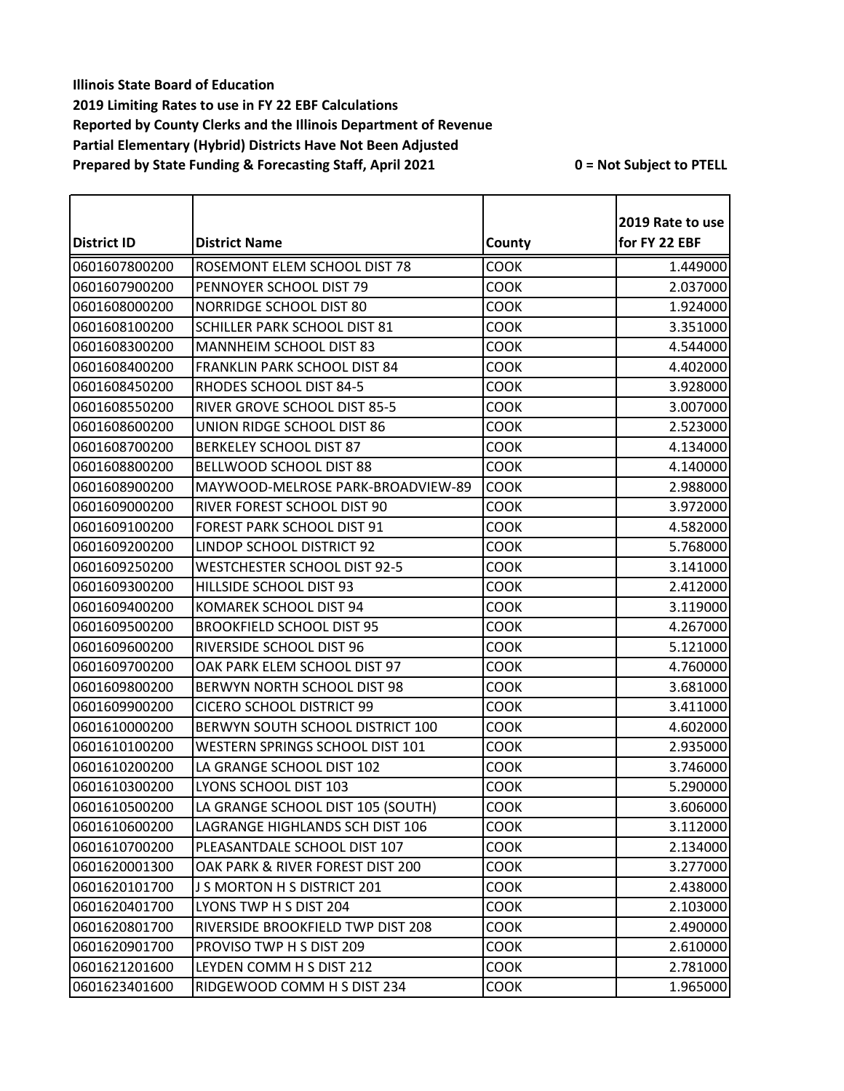|                    |                                     |             | 2019 Rate to use |
|--------------------|-------------------------------------|-------------|------------------|
| <b>District ID</b> | <b>District Name</b>                | County      | for FY 22 EBF    |
| 0601607800200      | ROSEMONT ELEM SCHOOL DIST 78        | COOK        | 1.449000         |
| 0601607900200      | PENNOYER SCHOOL DIST 79             | COOK        | 2.037000         |
| 0601608000200      | NORRIDGE SCHOOL DIST 80             | COOK        | 1.924000         |
| 0601608100200      | SCHILLER PARK SCHOOL DIST 81        | COOK        | 3.351000         |
| 0601608300200      | MANNHEIM SCHOOL DIST 83             | COOK        | 4.544000         |
| 0601608400200      | FRANKLIN PARK SCHOOL DIST 84        | COOK        | 4.402000         |
| 0601608450200      | RHODES SCHOOL DIST 84-5             | COOK        | 3.928000         |
| 0601608550200      | RIVER GROVE SCHOOL DIST 85-5        | COOK        | 3.007000         |
| 0601608600200      | UNION RIDGE SCHOOL DIST 86          | <b>COOK</b> | 2.523000         |
| 0601608700200      | <b>BERKELEY SCHOOL DIST 87</b>      | COOK        | 4.134000         |
| 0601608800200      | <b>BELLWOOD SCHOOL DIST 88</b>      | <b>COOK</b> | 4.140000         |
| 0601608900200      | MAYWOOD-MELROSE PARK-BROADVIEW-89   | COOK        | 2.988000         |
| 0601609000200      | RIVER FOREST SCHOOL DIST 90         | <b>COOK</b> | 3.972000         |
| 0601609100200      | FOREST PARK SCHOOL DIST 91          | COOK        | 4.582000         |
| 0601609200200      | LINDOP SCHOOL DISTRICT 92           | COOK        | 5.768000         |
| 0601609250200      | <b>WESTCHESTER SCHOOL DIST 92-5</b> | COOK        | 3.141000         |
| 0601609300200      | HILLSIDE SCHOOL DIST 93             | COOK        | 2.412000         |
| 0601609400200      | <b>KOMAREK SCHOOL DIST 94</b>       | COOK        | 3.119000         |
| 0601609500200      | <b>BROOKFIELD SCHOOL DIST 95</b>    | COOK        | 4.267000         |
| 0601609600200      | RIVERSIDE SCHOOL DIST 96            | COOK        | 5.121000         |
| 0601609700200      | OAK PARK ELEM SCHOOL DIST 97        | COOK        | 4.760000         |
| 0601609800200      | BERWYN NORTH SCHOOL DIST 98         | COOK        | 3.681000         |
| 0601609900200      | <b>CICERO SCHOOL DISTRICT 99</b>    | COOK        | 3.411000         |
| 0601610000200      | BERWYN SOUTH SCHOOL DISTRICT 100    | COOK        | 4.602000         |
| 0601610100200      | WESTERN SPRINGS SCHOOL DIST 101     | COOK        | 2.935000         |
| 0601610200200      | LA GRANGE SCHOOL DIST 102           | COOK        | 3.746000         |
| 0601610300200      | LYONS SCHOOL DIST 103               | COOK        | 5.290000         |
| 0601610500200      | LA GRANGE SCHOOL DIST 105 (SOUTH)   | <b>COOK</b> | 3.606000         |
| 0601610600200      | LAGRANGE HIGHLANDS SCH DIST 106     | <b>COOK</b> | 3.112000         |
| 0601610700200      | PLEASANTDALE SCHOOL DIST 107        | <b>COOK</b> | 2.134000         |
| 0601620001300      | OAK PARK & RIVER FOREST DIST 200    | <b>COOK</b> | 3.277000         |
| 0601620101700      | J S MORTON H S DISTRICT 201         | COOK        | 2.438000         |
| 0601620401700      | LYONS TWP H S DIST 204              | <b>COOK</b> | 2.103000         |
| 0601620801700      | RIVERSIDE BROOKFIELD TWP DIST 208   | COOK        | 2.490000         |
| 0601620901700      | PROVISO TWP H S DIST 209            | <b>COOK</b> | 2.610000         |
| 0601621201600      | LEYDEN COMM H S DIST 212            | <b>COOK</b> | 2.781000         |
| 0601623401600      | RIDGEWOOD COMM H S DIST 234         | COOK        | 1.965000         |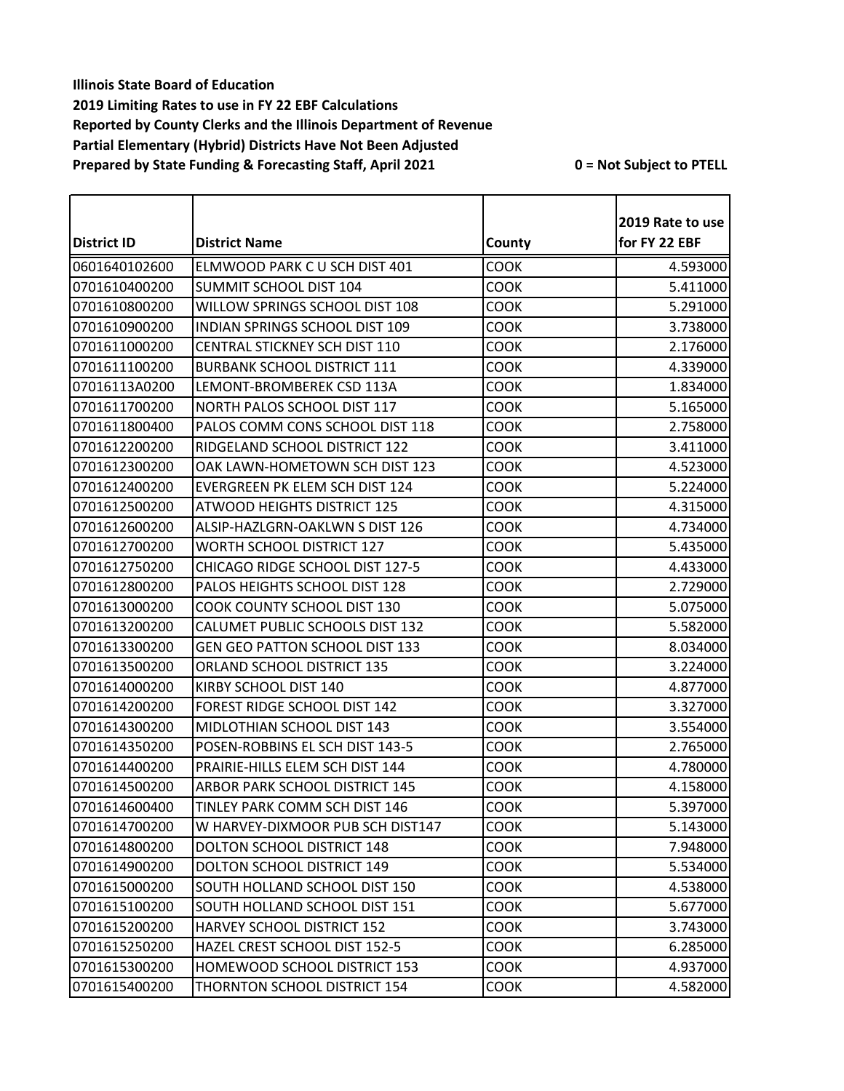| <b>District ID</b> | <b>District Name</b>                  | County      | 2019 Rate to use<br>for FY 22 EBF |
|--------------------|---------------------------------------|-------------|-----------------------------------|
| 0601640102600      | ELMWOOD PARK C U SCH DIST 401         | COOK        | 4.593000                          |
| 0701610400200      | <b>SUMMIT SCHOOL DIST 104</b>         | <b>COOK</b> | 5.411000                          |
| 0701610800200      | WILLOW SPRINGS SCHOOL DIST 108        | <b>COOK</b> | 5.291000                          |
| 0701610900200      | <b>INDIAN SPRINGS SCHOOL DIST 109</b> | <b>COOK</b> | 3.738000                          |
| 0701611000200      | CENTRAL STICKNEY SCH DIST 110         | COOK        | 2.176000                          |
| 0701611100200      | <b>BURBANK SCHOOL DISTRICT 111</b>    | <b>COOK</b> | 4.339000                          |
| 07016113A0200      | LEMONT-BROMBEREK CSD 113A             | <b>COOK</b> | 1.834000                          |
| 0701611700200      | NORTH PALOS SCHOOL DIST 117           | <b>COOK</b> | 5.165000                          |
| 0701611800400      | PALOS COMM CONS SCHOOL DIST 118       | <b>COOK</b> | 2.758000                          |
| 0701612200200      | RIDGELAND SCHOOL DISTRICT 122         | <b>COOK</b> | 3.411000                          |
| 0701612300200      | OAK LAWN-HOMETOWN SCH DIST 123        | COOK        | 4.523000                          |
| 0701612400200      | EVERGREEN PK ELEM SCH DIST 124        | <b>COOK</b> | 5.224000                          |
| 0701612500200      | <b>ATWOOD HEIGHTS DISTRICT 125</b>    | COOK        | 4.315000                          |
| 0701612600200      | ALSIP-HAZLGRN-OAKLWN S DIST 126       | <b>COOK</b> | 4.734000                          |
| 0701612700200      | <b>WORTH SCHOOL DISTRICT 127</b>      | <b>COOK</b> | 5.435000                          |
| 0701612750200      | CHICAGO RIDGE SCHOOL DIST 127-5       | <b>COOK</b> | 4.433000                          |
| 0701612800200      | PALOS HEIGHTS SCHOOL DIST 128         | COOK        | 2.729000                          |
| 0701613000200      | COOK COUNTY SCHOOL DIST 130           | COOK        | 5.075000                          |
| 0701613200200      | CALUMET PUBLIC SCHOOLS DIST 132       | <b>COOK</b> | 5.582000                          |
| 0701613300200      | <b>GEN GEO PATTON SCHOOL DIST 133</b> | <b>COOK</b> | 8.034000                          |
| 0701613500200      | <b>ORLAND SCHOOL DISTRICT 135</b>     | <b>COOK</b> | 3.224000                          |
| 0701614000200      | KIRBY SCHOOL DIST 140                 | <b>COOK</b> | 4.877000                          |
| 0701614200200      | FOREST RIDGE SCHOOL DIST 142          | <b>COOK</b> | 3.327000                          |
| 0701614300200      | MIDLOTHIAN SCHOOL DIST 143            | <b>COOK</b> | 3.554000                          |
| 0701614350200      | POSEN-ROBBINS EL SCH DIST 143-5       | <b>COOK</b> | 2.765000                          |
| 0701614400200      | PRAIRIE-HILLS ELEM SCH DIST 144       | <b>COOK</b> | 4.780000                          |
| 0701614500200      | <b>ARBOR PARK SCHOOL DISTRICT 145</b> | COOK        | 4.158000                          |
| 0701614600400      | TINLEY PARK COMM SCH DIST 146         | <b>COOK</b> | 5.397000                          |
| 0701614700200      | W HARVEY-DIXMOOR PUB SCH DIST147      | <b>COOK</b> | 5.143000                          |
| 0701614800200      | DOLTON SCHOOL DISTRICT 148            | COOK        | 7.948000                          |
| 0701614900200      | DOLTON SCHOOL DISTRICT 149            | <b>COOK</b> | 5.534000                          |
| 0701615000200      | SOUTH HOLLAND SCHOOL DIST 150         | COOK        | 4.538000                          |
| 0701615100200      | SOUTH HOLLAND SCHOOL DIST 151         | <b>COOK</b> | 5.677000                          |
| 0701615200200      | HARVEY SCHOOL DISTRICT 152            | <b>COOK</b> | 3.743000                          |
| 0701615250200      | HAZEL CREST SCHOOL DIST 152-5         | соок        | 6.285000                          |
| 0701615300200      | HOMEWOOD SCHOOL DISTRICT 153          | COOK        | 4.937000                          |
| 0701615400200      | THORNTON SCHOOL DISTRICT 154          | <b>COOK</b> | 4.582000                          |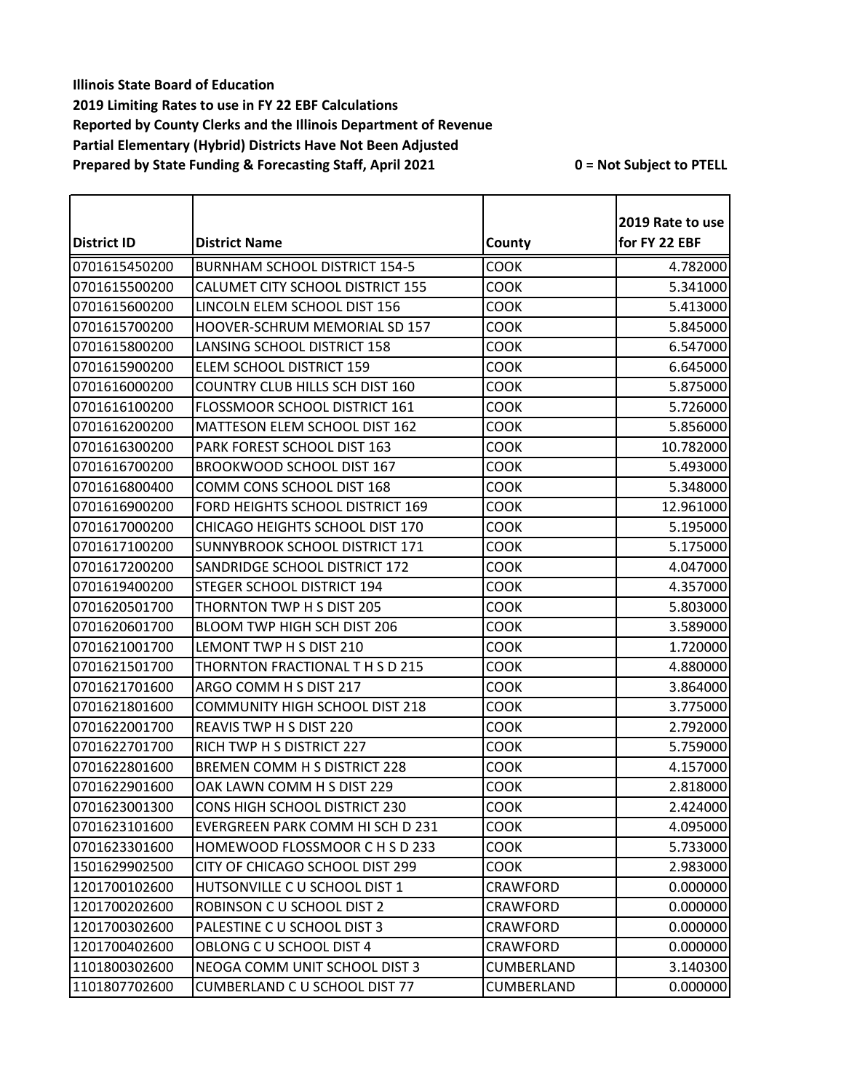|                    |                                       |                 | 2019 Rate to use |
|--------------------|---------------------------------------|-----------------|------------------|
| <b>District ID</b> | <b>District Name</b>                  | County          | for FY 22 EBF    |
| 0701615450200      | <b>BURNHAM SCHOOL DISTRICT 154-5</b>  | COOK            | 4.782000         |
| 0701615500200      | CALUMET CITY SCHOOL DISTRICT 155      | <b>COOK</b>     | 5.341000         |
| 0701615600200      | LINCOLN ELEM SCHOOL DIST 156          | <b>COOK</b>     | 5.413000         |
| 0701615700200      | HOOVER-SCHRUM MEMORIAL SD 157         | <b>COOK</b>     | 5.845000         |
| 0701615800200      | LANSING SCHOOL DISTRICT 158           | <b>COOK</b>     | 6.547000         |
| 0701615900200      | ELEM SCHOOL DISTRICT 159              | <b>COOK</b>     | 6.645000         |
| 0701616000200      | COUNTRY CLUB HILLS SCH DIST 160       | COOK            | 5.875000         |
| 0701616100200      | FLOSSMOOR SCHOOL DISTRICT 161         | <b>COOK</b>     | 5.726000         |
| 0701616200200      | MATTESON ELEM SCHOOL DIST 162         | <b>COOK</b>     | 5.856000         |
| 0701616300200      | PARK FOREST SCHOOL DIST 163           | <b>COOK</b>     | 10.782000        |
| 0701616700200      | <b>BROOKWOOD SCHOOL DIST 167</b>      | <b>COOK</b>     | 5.493000         |
| 0701616800400      | COMM CONS SCHOOL DIST 168             | <b>COOK</b>     | 5.348000         |
| 0701616900200      | FORD HEIGHTS SCHOOL DISTRICT 169      | <b>COOK</b>     | 12.961000        |
| 0701617000200      | CHICAGO HEIGHTS SCHOOL DIST 170       | <b>COOK</b>     | 5.195000         |
| 0701617100200      | SUNNYBROOK SCHOOL DISTRICT 171        | COOK            | 5.175000         |
| 0701617200200      | SANDRIDGE SCHOOL DISTRICT 172         | COOK            | 4.047000         |
| 0701619400200      | STEGER SCHOOL DISTRICT 194            | <b>COOK</b>     | 4.357000         |
| 0701620501700      | THORNTON TWP H S DIST 205             | <b>COOK</b>     | 5.803000         |
| 0701620601700      | BLOOM TWP HIGH SCH DIST 206           | COOK            | 3.589000         |
| 0701621001700      | LEMONT TWP H S DIST 210               | <b>COOK</b>     | 1.720000         |
| 0701621501700      | THORNTON FRACTIONAL T H S D 215       | <b>COOK</b>     | 4.880000         |
| 0701621701600      | ARGO COMM H S DIST 217                | <b>COOK</b>     | 3.864000         |
| 0701621801600      | <b>COMMUNITY HIGH SCHOOL DIST 218</b> | <b>COOK</b>     | 3.775000         |
| 0701622001700      | REAVIS TWP H S DIST 220               | <b>COOK</b>     | 2.792000         |
| 0701622701700      | RICH TWP H S DISTRICT 227             | <b>COOK</b>     | 5.759000         |
| 0701622801600      | BREMEN COMM H S DISTRICT 228          | <b>COOK</b>     | 4.157000         |
| 0701622901600      | OAK LAWN COMM H S DIST 229            | COOK            | 2.818000         |
| 0701623001300      | <b>CONS HIGH SCHOOL DISTRICT 230</b>  | <b>COOK</b>     | 2.424000         |
| 0701623101600      | EVERGREEN PARK COMM HI SCH D 231      | <b>COOK</b>     | 4.095000         |
| 0701623301600      | HOMEWOOD FLOSSMOOR C H S D 233        | <b>COOK</b>     | 5.733000         |
| 1501629902500      | CITY OF CHICAGO SCHOOL DIST 299       | <b>COOK</b>     | 2.983000         |
| 1201700102600      | HUTSONVILLE C U SCHOOL DIST 1         | <b>CRAWFORD</b> | 0.000000         |
| 1201700202600      | ROBINSON C U SCHOOL DIST 2            | CRAWFORD        | 0.000000         |
| 1201700302600      | PALESTINE C U SCHOOL DIST 3           | CRAWFORD        | 0.000000         |
| 1201700402600      | OBLONG C U SCHOOL DIST 4              | <b>CRAWFORD</b> | 0.000000         |
| 1101800302600      | NEOGA COMM UNIT SCHOOL DIST 3         | CUMBERLAND      | 3.140300         |
| 1101807702600      | CUMBERLAND C U SCHOOL DIST 77         | CUMBERLAND      | 0.000000         |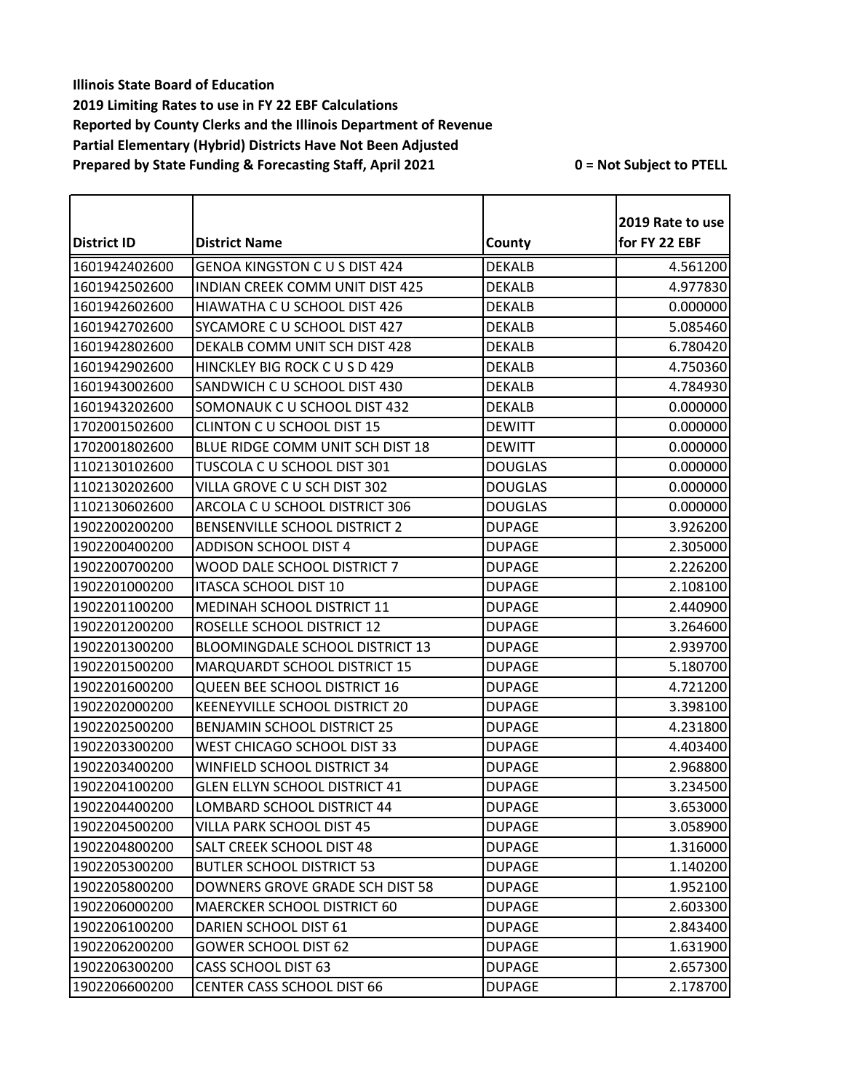| <b>District ID</b> | <b>District Name</b>                   |                | 2019 Rate to use<br>for FY 22 EBF |
|--------------------|----------------------------------------|----------------|-----------------------------------|
|                    |                                        | County         |                                   |
| 1601942402600      | <b>GENOA KINGSTON C U S DIST 424</b>   | <b>DEKALB</b>  | 4.561200                          |
| 1601942502600      | <b>INDIAN CREEK COMM UNIT DIST 425</b> | <b>DEKALB</b>  | 4.977830                          |
| 1601942602600      | HIAWATHA C U SCHOOL DIST 426           | <b>DEKALB</b>  | 0.000000                          |
| 1601942702600      | SYCAMORE C U SCHOOL DIST 427           | <b>DEKALB</b>  | 5.085460                          |
| 1601942802600      | DEKALB COMM UNIT SCH DIST 428          | <b>DEKALB</b>  | 6.780420                          |
| 1601942902600      | HINCKLEY BIG ROCK C U S D 429          | <b>DEKALB</b>  | 4.750360                          |
| 1601943002600      | SANDWICH C U SCHOOL DIST 430           | <b>DEKALB</b>  | 4.784930                          |
| 1601943202600      | SOMONAUK C U SCHOOL DIST 432           | <b>DEKALB</b>  | 0.000000                          |
| 1702001502600      | <b>CLINTON C U SCHOOL DIST 15</b>      | <b>DEWITT</b>  | 0.000000                          |
| 1702001802600      | BLUE RIDGE COMM UNIT SCH DIST 18       | <b>DEWITT</b>  | 0.000000                          |
| 1102130102600      | TUSCOLA C U SCHOOL DIST 301            | <b>DOUGLAS</b> | 0.000000                          |
| 1102130202600      | VILLA GROVE C U SCH DIST 302           | <b>DOUGLAS</b> | 0.000000                          |
| 1102130602600      | ARCOLA C U SCHOOL DISTRICT 306         | <b>DOUGLAS</b> | 0.000000                          |
| 1902200200200      | BENSENVILLE SCHOOL DISTRICT 2          | <b>DUPAGE</b>  | 3.926200                          |
| 1902200400200      | <b>ADDISON SCHOOL DIST 4</b>           | <b>DUPAGE</b>  | 2.305000                          |
| 1902200700200      | WOOD DALE SCHOOL DISTRICT 7            | <b>DUPAGE</b>  | 2.226200                          |
| 1902201000200      | <b>ITASCA SCHOOL DIST 10</b>           | <b>DUPAGE</b>  | 2.108100                          |
| 1902201100200      | <b>MEDINAH SCHOOL DISTRICT 11</b>      | <b>DUPAGE</b>  | 2.440900                          |
| 1902201200200      | ROSELLE SCHOOL DISTRICT 12             | <b>DUPAGE</b>  | 3.264600                          |
| 1902201300200      | <b>BLOOMINGDALE SCHOOL DISTRICT 13</b> | <b>DUPAGE</b>  | 2.939700                          |
| 1902201500200      | MARQUARDT SCHOOL DISTRICT 15           | <b>DUPAGE</b>  | 5.180700                          |
| 1902201600200      | QUEEN BEE SCHOOL DISTRICT 16           | <b>DUPAGE</b>  | 4.721200                          |
| 1902202000200      | KEENEYVILLE SCHOOL DISTRICT 20         | <b>DUPAGE</b>  | 3.398100                          |
| 1902202500200      | <b>BENJAMIN SCHOOL DISTRICT 25</b>     | <b>DUPAGE</b>  | 4.231800                          |
| 1902203300200      | WEST CHICAGO SCHOOL DIST 33            | <b>DUPAGE</b>  | 4.403400                          |
| 1902203400200      | WINFIELD SCHOOL DISTRICT 34            | <b>DUPAGE</b>  | 2.968800                          |
| 1902204100200      | <b>GLEN ELLYN SCHOOL DISTRICT 41</b>   | <b>DUPAGE</b>  | 3.234500                          |
| 1902204400200      | LOMBARD SCHOOL DISTRICT 44             | <b>DUPAGE</b>  | 3.653000                          |
| 1902204500200      | VILLA PARK SCHOOL DIST 45              | <b>DUPAGE</b>  | 3.058900                          |
| 1902204800200      | SALT CREEK SCHOOL DIST 48              | <b>DUPAGE</b>  | 1.316000                          |
| 1902205300200      | <b>BUTLER SCHOOL DISTRICT 53</b>       | <b>DUPAGE</b>  | 1.140200                          |
| 1902205800200      | DOWNERS GROVE GRADE SCH DIST 58        | <b>DUPAGE</b>  | 1.952100                          |
| 1902206000200      | MAERCKER SCHOOL DISTRICT 60            | <b>DUPAGE</b>  | 2.603300                          |
| 1902206100200      | DARIEN SCHOOL DIST 61                  | <b>DUPAGE</b>  | 2.843400                          |
| 1902206200200      | <b>GOWER SCHOOL DIST 62</b>            | <b>DUPAGE</b>  | 1.631900                          |
| 1902206300200      | <b>CASS SCHOOL DIST 63</b>             | <b>DUPAGE</b>  | 2.657300                          |
| 1902206600200      | CENTER CASS SCHOOL DIST 66             | <b>DUPAGE</b>  | 2.178700                          |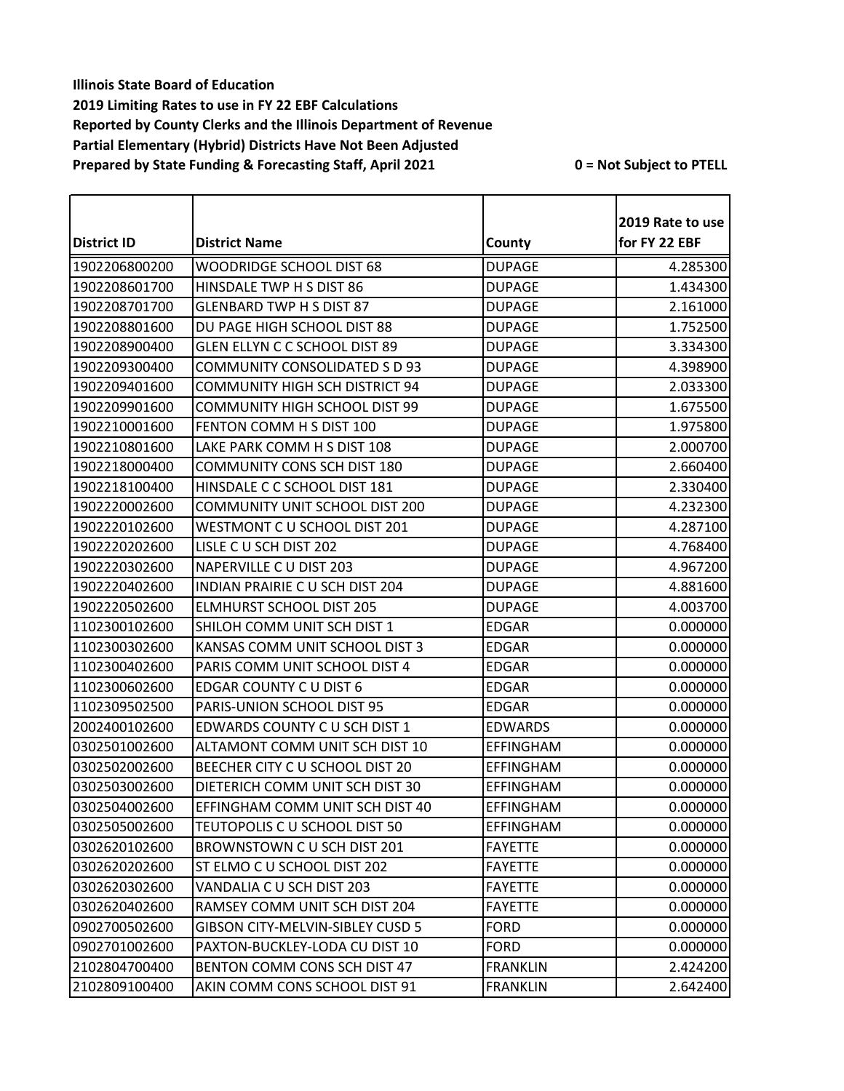| <b>District ID</b> | <b>District Name</b>                    | County           | 2019 Rate to use<br>for FY 22 EBF |
|--------------------|-----------------------------------------|------------------|-----------------------------------|
|                    |                                         |                  |                                   |
| 1902206800200      | <b>WOODRIDGE SCHOOL DIST 68</b>         | <b>DUPAGE</b>    | 4.285300                          |
| 1902208601700      | HINSDALE TWP H S DIST 86                | <b>DUPAGE</b>    | 1.434300                          |
| 1902208701700      | <b>GLENBARD TWP H S DIST 87</b>         | <b>DUPAGE</b>    | 2.161000                          |
| 1902208801600      | DU PAGE HIGH SCHOOL DIST 88             | <b>DUPAGE</b>    | 1.752500                          |
| 1902208900400      | GLEN ELLYN C C SCHOOL DIST 89           | <b>DUPAGE</b>    | 3.334300                          |
| 1902209300400      | COMMUNITY CONSOLIDATED S D 93           | <b>DUPAGE</b>    | 4.398900                          |
| 1902209401600      | <b>COMMUNITY HIGH SCH DISTRICT 94</b>   | <b>DUPAGE</b>    | 2.033300                          |
| 1902209901600      | <b>COMMUNITY HIGH SCHOOL DIST 99</b>    | <b>DUPAGE</b>    | 1.675500                          |
| 1902210001600      | FENTON COMM H S DIST 100                | <b>DUPAGE</b>    | 1.975800                          |
| 1902210801600      | LAKE PARK COMM H S DIST 108             | <b>DUPAGE</b>    | 2.000700                          |
| 1902218000400      | <b>COMMUNITY CONS SCH DIST 180</b>      | <b>DUPAGE</b>    | 2.660400                          |
| 1902218100400      | HINSDALE C C SCHOOL DIST 181            | <b>DUPAGE</b>    | 2.330400                          |
| 1902220002600      | <b>COMMUNITY UNIT SCHOOL DIST 200</b>   | <b>DUPAGE</b>    | 4.232300                          |
| 1902220102600      | WESTMONT C U SCHOOL DIST 201            | <b>DUPAGE</b>    | 4.287100                          |
| 1902220202600      | LISLE C U SCH DIST 202                  | <b>DUPAGE</b>    | 4.768400                          |
| 1902220302600      | NAPERVILLE C U DIST 203                 | <b>DUPAGE</b>    | 4.967200                          |
| 1902220402600      | INDIAN PRAIRIE C U SCH DIST 204         | <b>DUPAGE</b>    | 4.881600                          |
| 1902220502600      | <b>ELMHURST SCHOOL DIST 205</b>         | <b>DUPAGE</b>    | 4.003700                          |
| 1102300102600      | SHILOH COMM UNIT SCH DIST 1             | <b>EDGAR</b>     | 0.000000                          |
| 1102300302600      | KANSAS COMM UNIT SCHOOL DIST 3          | <b>EDGAR</b>     | 0.000000                          |
| 1102300402600      | PARIS COMM UNIT SCHOOL DIST 4           | <b>EDGAR</b>     | 0.000000                          |
| 1102300602600      | <b>EDGAR COUNTY C U DIST 6</b>          | <b>EDGAR</b>     | 0.000000                          |
| 1102309502500      | PARIS-UNION SCHOOL DIST 95              | <b>EDGAR</b>     | 0.000000                          |
| 2002400102600      | EDWARDS COUNTY C U SCH DIST 1           | <b>EDWARDS</b>   | 0.000000                          |
| 0302501002600      | ALTAMONT COMM UNIT SCH DIST 10          | <b>EFFINGHAM</b> | 0.000000                          |
| 0302502002600      | BEECHER CITY C U SCHOOL DIST 20         | <b>EFFINGHAM</b> | 0.000000                          |
| 0302503002600      | DIETERICH COMM UNIT SCH DIST 30         | <b>EFFINGHAM</b> | 0.000000                          |
| 0302504002600      | EFFINGHAM COMM UNIT SCH DIST 40         | <b>EFFINGHAM</b> | 0.000000                          |
| 0302505002600      | TEUTOPOLIS C U SCHOOL DIST 50           | <b>EFFINGHAM</b> | 0.000000                          |
| 0302620102600      | BROWNSTOWN CU SCH DIST 201              | <b>FAYETTE</b>   | 0.000000                          |
| 0302620202600      | ST ELMO C U SCHOOL DIST 202             | <b>FAYETTE</b>   | 0.000000                          |
| 0302620302600      | VANDALIA C U SCH DIST 203               | <b>FAYETTE</b>   | 0.000000                          |
| 0302620402600      | RAMSEY COMM UNIT SCH DIST 204           | <b>FAYETTE</b>   | 0.000000                          |
| 0902700502600      | <b>GIBSON CITY-MELVIN-SIBLEY CUSD 5</b> | <b>FORD</b>      | 0.000000                          |
| 0902701002600      | PAXTON-BUCKLEY-LODA CU DIST 10          | <b>FORD</b>      | 0.000000                          |
| 2102804700400      | BENTON COMM CONS SCH DIST 47            | <b>FRANKLIN</b>  | 2.424200                          |
| 2102809100400      | AKIN COMM CONS SCHOOL DIST 91           | <b>FRANKLIN</b>  | 2.642400                          |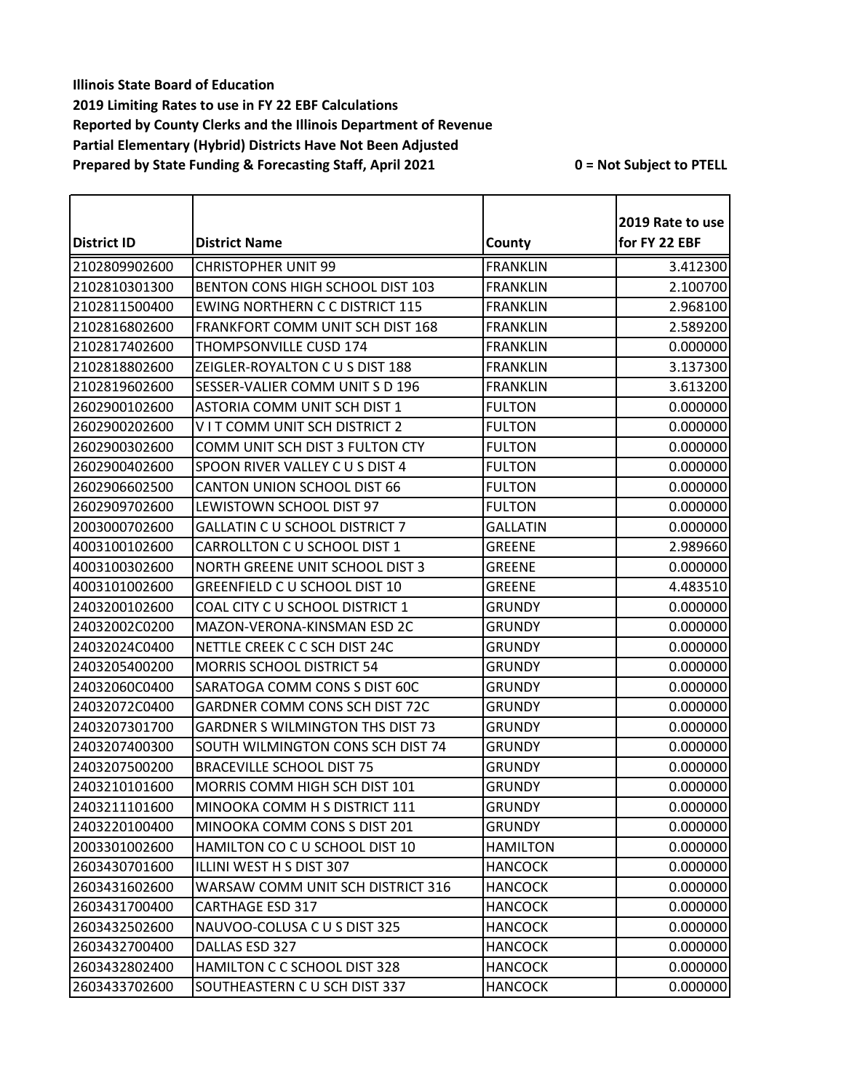|               |                                         |                 | 2019 Rate to use |
|---------------|-----------------------------------------|-----------------|------------------|
| District ID   | <b>District Name</b>                    | County          | for FY 22 EBF    |
| 2102809902600 | <b>CHRISTOPHER UNIT 99</b>              | <b>FRANKLIN</b> | 3.412300         |
| 2102810301300 | BENTON CONS HIGH SCHOOL DIST 103        | <b>FRANKLIN</b> | 2.100700         |
| 2102811500400 | <b>EWING NORTHERN C C DISTRICT 115</b>  | <b>FRANKLIN</b> | 2.968100         |
| 2102816802600 | FRANKFORT COMM UNIT SCH DIST 168        | <b>FRANKLIN</b> | 2.589200         |
| 2102817402600 | THOMPSONVILLE CUSD 174                  | <b>FRANKLIN</b> | 0.000000         |
| 2102818802600 | ZEIGLER-ROYALTON CUS DIST 188           | <b>FRANKLIN</b> | 3.137300         |
| 2102819602600 | SESSER-VALIER COMM UNIT S D 196         | <b>FRANKLIN</b> | 3.613200         |
| 2602900102600 | ASTORIA COMM UNIT SCH DIST 1            | <b>FULTON</b>   | 0.000000         |
| 2602900202600 | VIT COMM UNIT SCH DISTRICT 2            | <b>FULTON</b>   | 0.000000         |
| 2602900302600 | COMM UNIT SCH DIST 3 FULTON CTY         | <b>FULTON</b>   | 0.000000         |
| 2602900402600 | SPOON RIVER VALLEY CUS DIST 4           | <b>FULTON</b>   | 0.000000         |
| 2602906602500 | <b>CANTON UNION SCHOOL DIST 66</b>      | <b>FULTON</b>   | 0.000000         |
| 2602909702600 | LEWISTOWN SCHOOL DIST 97                | <b>FULTON</b>   | 0.000000         |
| 2003000702600 | <b>GALLATIN C U SCHOOL DISTRICT 7</b>   | <b>GALLATIN</b> | 0.000000         |
| 4003100102600 | CARROLLTON C U SCHOOL DIST 1            | <b>GREENE</b>   | 2.989660         |
| 4003100302600 | NORTH GREENE UNIT SCHOOL DIST 3         | <b>GREENE</b>   | 0.000000         |
| 4003101002600 | GREENFIELD C U SCHOOL DIST 10           | <b>GREENE</b>   | 4.483510         |
| 2403200102600 | COAL CITY C U SCHOOL DISTRICT 1         | <b>GRUNDY</b>   | 0.000000         |
| 24032002C0200 | MAZON-VERONA-KINSMAN ESD 2C             | <b>GRUNDY</b>   | 0.000000         |
| 24032024C0400 | NETTLE CREEK C C SCH DIST 24C           | <b>GRUNDY</b>   | 0.000000         |
| 2403205400200 | <b>MORRIS SCHOOL DISTRICT 54</b>        | <b>GRUNDY</b>   | 0.000000         |
| 24032060C0400 | SARATOGA COMM CONS S DIST 60C           | <b>GRUNDY</b>   | 0.000000         |
| 24032072C0400 | GARDNER COMM CONS SCH DIST 72C          | <b>GRUNDY</b>   | 0.000000         |
| 2403207301700 | <b>GARDNER S WILMINGTON THS DIST 73</b> | <b>GRUNDY</b>   | 0.000000         |
| 2403207400300 | SOUTH WILMINGTON CONS SCH DIST 74       | <b>GRUNDY</b>   | 0.000000         |
| 2403207500200 | <b>BRACEVILLE SCHOOL DIST 75</b>        | <b>GRUNDY</b>   | 0.000000         |
| 2403210101600 | <b>MORRIS COMM HIGH SCH DIST 101</b>    | <b>GRUNDY</b>   | 0.000000         |
| 2403211101600 | MINOOKA COMM H S DISTRICT 111           | <b>GRUNDY</b>   | 0.000000         |
| 2403220100400 | MINOOKA COMM CONS S DIST 201            | <b>GRUNDY</b>   | 0.000000         |
| 2003301002600 | HAMILTON CO C U SCHOOL DIST 10          | <b>HAMILTON</b> | 0.000000         |
| 2603430701600 | ILLINI WEST H S DIST 307                | <b>HANCOCK</b>  | 0.000000         |
| 2603431602600 | WARSAW COMM UNIT SCH DISTRICT 316       | <b>HANCOCK</b>  | 0.000000         |
| 2603431700400 | <b>CARTHAGE ESD 317</b>                 | <b>HANCOCK</b>  | 0.000000         |
| 2603432502600 | NAUVOO-COLUSA C U S DIST 325            | <b>HANCOCK</b>  | 0.000000         |
| 2603432700400 | DALLAS ESD 327                          | <b>HANCOCK</b>  | 0.000000         |
| 2603432802400 | HAMILTON C C SCHOOL DIST 328            | <b>HANCOCK</b>  | 0.000000         |
| 2603433702600 | SOUTHEASTERN C U SCH DIST 337           | <b>HANCOCK</b>  | 0.000000         |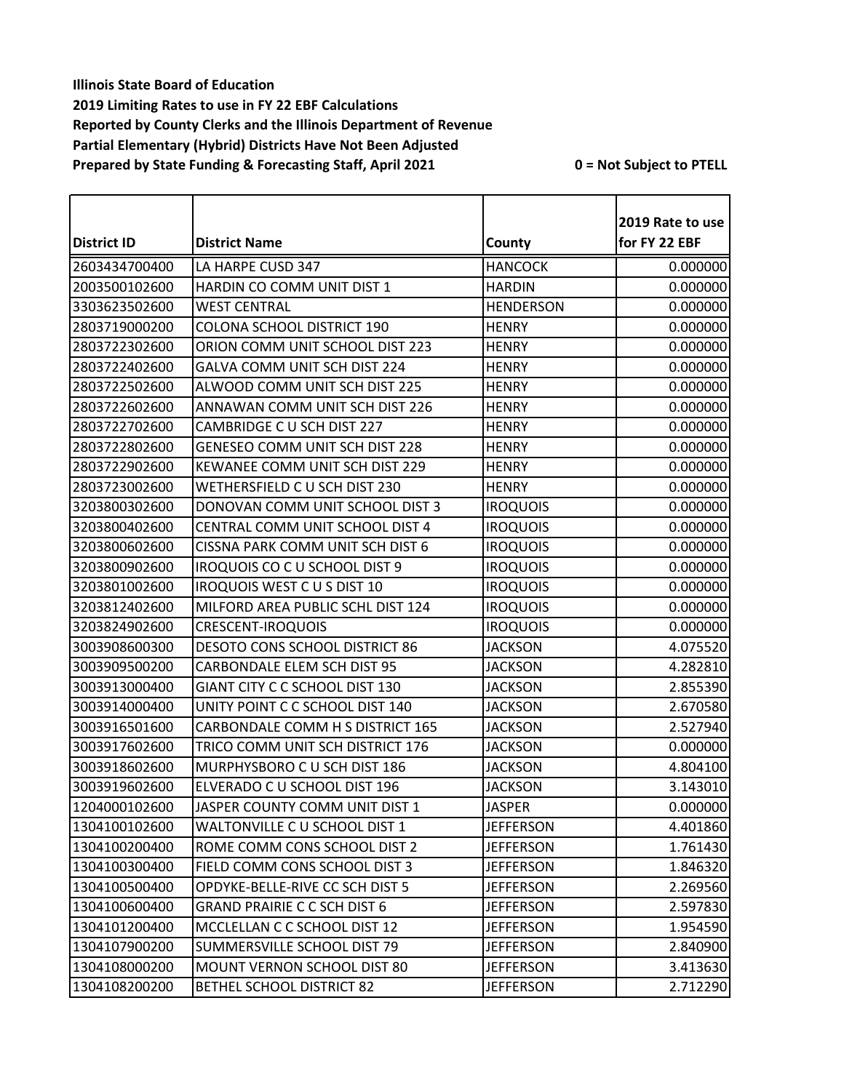|               |                                       |                  | 2019 Rate to use |
|---------------|---------------------------------------|------------------|------------------|
| District ID   | <b>District Name</b>                  | County           | for FY 22 EBF    |
| 2603434700400 | LA HARPE CUSD 347                     | <b>HANCOCK</b>   | 0.000000         |
| 2003500102600 | HARDIN CO COMM UNIT DIST 1            | <b>HARDIN</b>    | 0.000000         |
| 3303623502600 | <b>WEST CENTRAL</b>                   | <b>HENDERSON</b> | 0.000000         |
| 2803719000200 | <b>COLONA SCHOOL DISTRICT 190</b>     | <b>HENRY</b>     | 0.000000         |
| 2803722302600 | ORION COMM UNIT SCHOOL DIST 223       | <b>HENRY</b>     | 0.000000         |
| 2803722402600 | GALVA COMM UNIT SCH DIST 224          | <b>HENRY</b>     | 0.000000         |
| 2803722502600 | ALWOOD COMM UNIT SCH DIST 225         | <b>HENRY</b>     | 0.000000         |
| 2803722602600 | ANNAWAN COMM UNIT SCH DIST 226        | <b>HENRY</b>     | 0.000000         |
| 2803722702600 | CAMBRIDGE C U SCH DIST 227            | <b>HENRY</b>     | 0.000000         |
| 2803722802600 | GENESEO COMM UNIT SCH DIST 228        | <b>HENRY</b>     | 0.000000         |
| 2803722902600 | KEWANEE COMM UNIT SCH DIST 229        | <b>HENRY</b>     | 0.000000         |
| 2803723002600 | WETHERSFIELD C U SCH DIST 230         | <b>HENRY</b>     | 0.000000         |
| 3203800302600 | DONOVAN COMM UNIT SCHOOL DIST 3       | <b>IROQUOIS</b>  | 0.000000         |
| 3203800402600 | CENTRAL COMM UNIT SCHOOL DIST 4       | <b>IROQUOIS</b>  | 0.000000         |
| 3203800602600 | CISSNA PARK COMM UNIT SCH DIST 6      | <b>IROQUOIS</b>  | 0.000000         |
| 3203800902600 | <b>IROQUOIS CO C U SCHOOL DIST 9</b>  | <b>IROQUOIS</b>  | 0.000000         |
| 3203801002600 | <b>IROQUOIS WEST CUS DIST 10</b>      | <b>IROQUOIS</b>  | 0.000000         |
| 3203812402600 | MILFORD AREA PUBLIC SCHL DIST 124     | <b>IROQUOIS</b>  | 0.000000         |
| 3203824902600 | <b>CRESCENT-IROQUOIS</b>              | <b>IROQUOIS</b>  | 0.000000         |
| 3003908600300 | <b>DESOTO CONS SCHOOL DISTRICT 86</b> | <b>JACKSON</b>   | 4.075520         |
| 3003909500200 | CARBONDALE ELEM SCH DIST 95           | <b>JACKSON</b>   | 4.282810         |
| 3003913000400 | GIANT CITY C C SCHOOL DIST 130        | <b>JACKSON</b>   | 2.855390         |
| 3003914000400 | UNITY POINT C C SCHOOL DIST 140       | <b>JACKSON</b>   | 2.670580         |
| 3003916501600 | CARBONDALE COMM H S DISTRICT 165      | <b>JACKSON</b>   | 2.527940         |
| 3003917602600 | TRICO COMM UNIT SCH DISTRICT 176      | <b>JACKSON</b>   | 0.000000         |
| 3003918602600 | MURPHYSBORO C U SCH DIST 186          | <b>JACKSON</b>   | 4.804100         |
| 3003919602600 | ELVERADO C U SCHOOL DIST 196          | <b>JACKSON</b>   | 3.143010         |
| 1204000102600 | JASPER COUNTY COMM UNIT DIST 1        | <b>JASPER</b>    | 0.000000         |
| 1304100102600 | WALTONVILLE C U SCHOOL DIST 1         | <b>JEFFERSON</b> | 4.401860         |
| 1304100200400 | ROME COMM CONS SCHOOL DIST 2          | <b>JEFFERSON</b> | 1.761430         |
| 1304100300400 | FIELD COMM CONS SCHOOL DIST 3         | <b>JEFFERSON</b> | 1.846320         |
| 1304100500400 | OPDYKE-BELLE-RIVE CC SCH DIST 5       | <b>JEFFERSON</b> | 2.269560         |
| 1304100600400 | <b>GRAND PRAIRIE C C SCH DIST 6</b>   | <b>JEFFERSON</b> | 2.597830         |
| 1304101200400 | MCCLELLAN C C SCHOOL DIST 12          | <b>JEFFERSON</b> | 1.954590         |
| 1304107900200 | SUMMERSVILLE SCHOOL DIST 79           | <b>JEFFERSON</b> | 2.840900         |
| 1304108000200 | MOUNT VERNON SCHOOL DIST 80           | <b>JEFFERSON</b> | 3.413630         |
| 1304108200200 | BETHEL SCHOOL DISTRICT 82             | <b>JEFFERSON</b> | 2.712290         |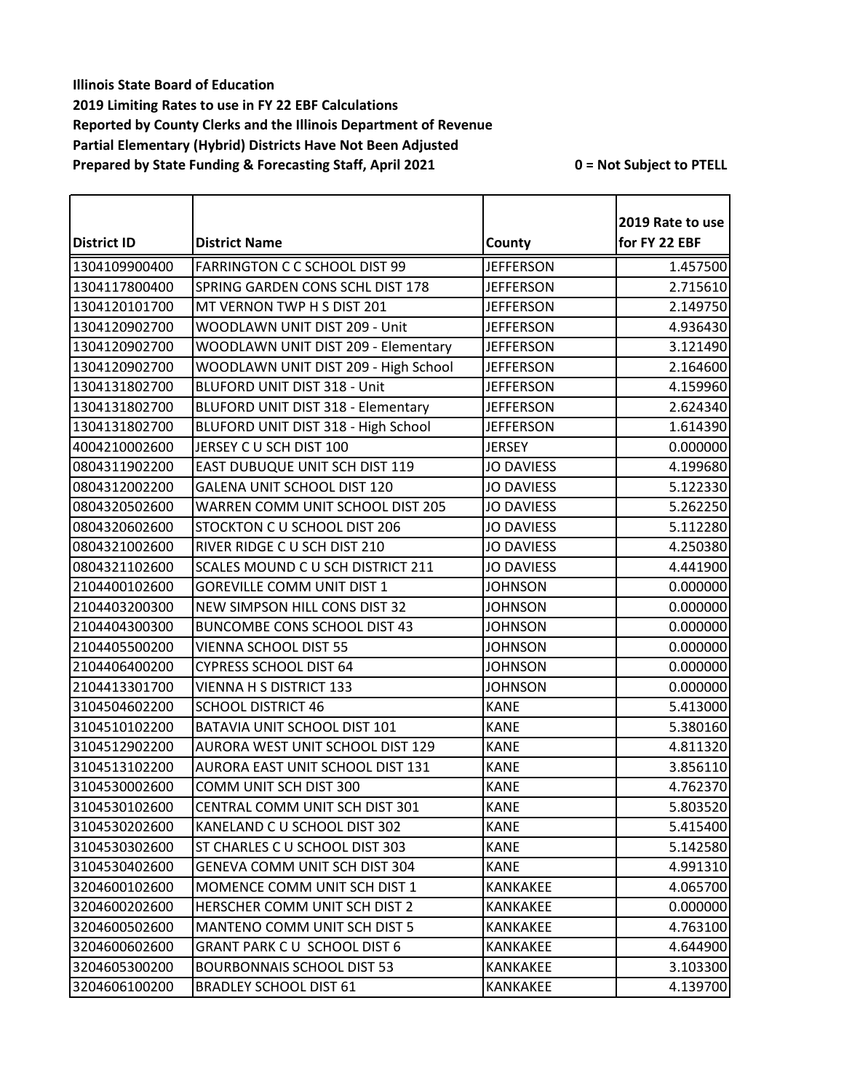|                    |                                         |                   | 2019 Rate to use |
|--------------------|-----------------------------------------|-------------------|------------------|
| <b>District ID</b> | <b>District Name</b>                    | County            | for FY 22 EBF    |
| 1304109900400      | <b>FARRINGTON C C SCHOOL DIST 99</b>    | <b>JEFFERSON</b>  | 1.457500         |
| 1304117800400      | SPRING GARDEN CONS SCHL DIST 178        | <b>JEFFERSON</b>  | 2.715610         |
| 1304120101700      | MT VERNON TWP H S DIST 201              | <b>JEFFERSON</b>  | 2.149750         |
| 1304120902700      | WOODLAWN UNIT DIST 209 - Unit           | <b>JEFFERSON</b>  | 4.936430         |
| 1304120902700      | WOODLAWN UNIT DIST 209 - Elementary     | <b>JEFFERSON</b>  | 3.121490         |
| 1304120902700      | WOODLAWN UNIT DIST 209 - High School    | <b>JEFFERSON</b>  | 2.164600         |
| 1304131802700      | BLUFORD UNIT DIST 318 - Unit            | <b>JEFFERSON</b>  | 4.159960         |
| 1304131802700      | BLUFORD UNIT DIST 318 - Elementary      | <b>JEFFERSON</b>  | 2.624340         |
| 1304131802700      | BLUFORD UNIT DIST 318 - High School     | <b>JEFFERSON</b>  | 1.614390         |
| 4004210002600      | JERSEY CU SCH DIST 100                  | <b>JERSEY</b>     | 0.000000         |
| 0804311902200      | EAST DUBUQUE UNIT SCH DIST 119          | <b>JO DAVIESS</b> | 4.199680         |
| 0804312002200      | GALENA UNIT SCHOOL DIST 120             | <b>JO DAVIESS</b> | 5.122330         |
| 0804320502600      | <b>WARREN COMM UNIT SCHOOL DIST 205</b> | <b>JO DAVIESS</b> | 5.262250         |
| 0804320602600      | STOCKTON C U SCHOOL DIST 206            | <b>JO DAVIESS</b> | 5.112280         |
| 0804321002600      | RIVER RIDGE C U SCH DIST 210            | <b>JO DAVIESS</b> | 4.250380         |
| 0804321102600      | SCALES MOUND C U SCH DISTRICT 211       | <b>JO DAVIESS</b> | 4.441900         |
| 2104400102600      | <b>GOREVILLE COMM UNIT DIST 1</b>       | <b>JOHNSON</b>    | 0.000000         |
| 2104403200300      | NEW SIMPSON HILL CONS DIST 32           | <b>JOHNSON</b>    | 0.000000         |
| 2104404300300      | <b>BUNCOMBE CONS SCHOOL DIST 43</b>     | <b>JOHNSON</b>    | 0.000000         |
| 2104405500200      | <b>VIENNA SCHOOL DIST 55</b>            | <b>JOHNSON</b>    | 0.000000         |
| 2104406400200      | CYPRESS SCHOOL DIST 64                  | <b>JOHNSON</b>    | 0.000000         |
| 2104413301700      | <b>VIENNA H S DISTRICT 133</b>          | <b>JOHNSON</b>    | 0.000000         |
| 3104504602200      | <b>SCHOOL DISTRICT 46</b>               | <b>KANE</b>       | 5.413000         |
| 3104510102200      | BATAVIA UNIT SCHOOL DIST 101            | <b>KANE</b>       | 5.380160         |
| 3104512902200      | AURORA WEST UNIT SCHOOL DIST 129        | <b>KANE</b>       | 4.811320         |
| 3104513102200      | AURORA EAST UNIT SCHOOL DIST 131        | <b>KANE</b>       | 3.856110         |
| 3104530002600      | COMM UNIT SCH DIST 300                  | <b>KANE</b>       | 4.762370         |
| 3104530102600      | CENTRAL COMM UNIT SCH DIST 301          | <b>KANE</b>       | 5.803520         |
| 3104530202600      | KANELAND C U SCHOOL DIST 302            | <b>KANE</b>       | 5.415400         |
| 3104530302600      | ST CHARLES C U SCHOOL DIST 303          | <b>KANE</b>       | 5.142580         |
| 3104530402600      | GENEVA COMM UNIT SCH DIST 304           | <b>KANE</b>       | 4.991310         |
| 3204600102600      | MOMENCE COMM UNIT SCH DIST 1            | <b>KANKAKEE</b>   | 4.065700         |
| 3204600202600      | HERSCHER COMM UNIT SCH DIST 2           | <b>KANKAKEE</b>   | 0.000000         |
| 3204600502600      | MANTENO COMM UNIT SCH DIST 5            | KANKAKEE          | 4.763100         |
| 3204600602600      | GRANT PARK CU SCHOOL DIST 6             | <b>KANKAKEE</b>   | 4.644900         |
| 3204605300200      | <b>BOURBONNAIS SCHOOL DIST 53</b>       | <b>KANKAKEE</b>   | 3.103300         |
| 3204606100200      | <b>BRADLEY SCHOOL DIST 61</b>           | KANKAKEE          | 4.139700         |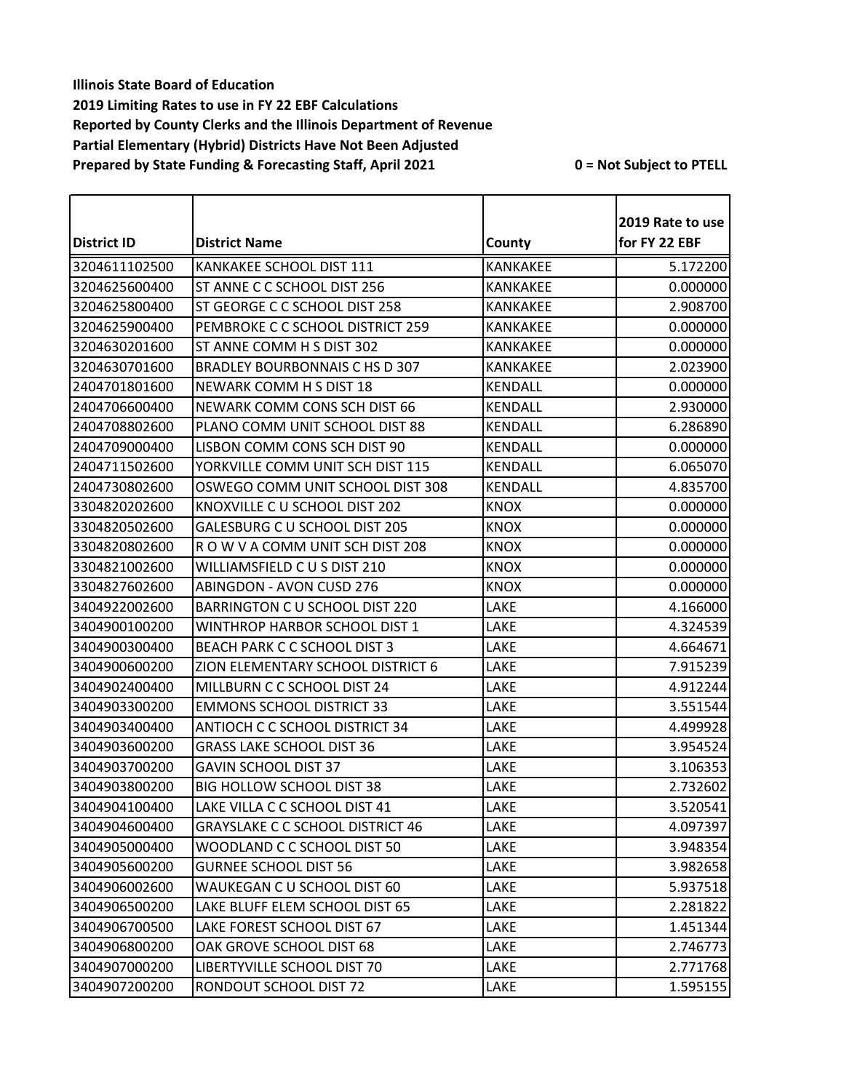|                    |                                         |                 | 2019 Rate to use |
|--------------------|-----------------------------------------|-----------------|------------------|
| <b>District ID</b> | <b>District Name</b>                    | County          | for FY 22 EBF    |
| 3204611102500      | KANKAKEE SCHOOL DIST 111                | <b>KANKAKEE</b> | 5.172200         |
| 3204625600400      | ST ANNE C C SCHOOL DIST 256             | <b>KANKAKEE</b> | 0.000000         |
| 3204625800400      | ST GEORGE C C SCHOOL DIST 258           | <b>KANKAKEE</b> | 2.908700         |
| 3204625900400      | PEMBROKE C C SCHOOL DISTRICT 259        | <b>KANKAKEE</b> | 0.000000         |
| 3204630201600      | ST ANNE COMM H S DIST 302               | <b>KANKAKEE</b> | 0.000000         |
| 3204630701600      | BRADLEY BOURBONNAIS C HS D 307          | <b>KANKAKEE</b> | 2.023900         |
| 2404701801600      | NEWARK COMM H S DIST 18                 | <b>KENDALL</b>  | 0.000000         |
| 2404706600400      | NEWARK COMM CONS SCH DIST 66            | <b>KENDALL</b>  | 2.930000         |
| 2404708802600      | PLANO COMM UNIT SCHOOL DIST 88          | <b>KENDALL</b>  | 6.286890         |
| 2404709000400      | LISBON COMM CONS SCH DIST 90            | <b>KENDALL</b>  | 0.000000         |
| 2404711502600      | YORKVILLE COMM UNIT SCH DIST 115        | <b>KENDALL</b>  | 6.065070         |
| 2404730802600      | OSWEGO COMM UNIT SCHOOL DIST 308        | <b>KENDALL</b>  | 4.835700         |
| 3304820202600      | KNOXVILLE C U SCHOOL DIST 202           | <b>KNOX</b>     | 0.000000         |
| 3304820502600      | <b>GALESBURG C U SCHOOL DIST 205</b>    | <b>KNOX</b>     | 0.000000         |
| 3304820802600      | ROW V A COMM UNIT SCH DIST 208          | <b>KNOX</b>     | 0.000000         |
| 3304821002600      | WILLIAMSFIELD C U S DIST 210            | <b>KNOX</b>     | 0.000000         |
| 3304827602600      | <b>ABINGDON - AVON CUSD 276</b>         | <b>KNOX</b>     | 0.000000         |
| 3404922002600      | BARRINGTON C U SCHOOL DIST 220          | LAKE            | 4.166000         |
| 3404900100200      | WINTHROP HARBOR SCHOOL DIST 1           | LAKE            | 4.324539         |
| 3404900300400      | BEACH PARK C C SCHOOL DIST 3            | LAKE            | 4.664671         |
| 3404900600200      | ZION ELEMENTARY SCHOOL DISTRICT 6       | LAKE            | 7.915239         |
| 3404902400400      | MILLBURN C C SCHOOL DIST 24             | LAKE            | 4.912244         |
| 3404903300200      | <b>EMMONS SCHOOL DISTRICT 33</b>        | LAKE            | 3.551544         |
| 3404903400400      | ANTIOCH C C SCHOOL DISTRICT 34          | LAKE            | 4.499928         |
| 3404903600200      | <b>GRASS LAKE SCHOOL DIST 36</b>        | LAKE            | 3.954524         |
| 3404903700200      | <b>GAVIN SCHOOL DIST 37</b>             | LAKE            | 3.106353         |
| 3404903800200      | <b>BIG HOLLOW SCHOOL DIST 38</b>        | LAKE            | 2.732602         |
| 3404904100400      | LAKE VILLA C C SCHOOL DIST 41           | LAKE            | 3.520541         |
| 3404904600400      | <b>GRAYSLAKE C C SCHOOL DISTRICT 46</b> | LAKE            | 4.097397         |
| 3404905000400      | WOODLAND C C SCHOOL DIST 50             | LAKE            | 3.948354         |
| 3404905600200      | <b>GURNEE SCHOOL DIST 56</b>            | LAKE            | 3.982658         |
| 3404906002600      | WAUKEGAN C U SCHOOL DIST 60             | LAKE            | 5.937518         |
| 3404906500200      | LAKE BLUFF ELEM SCHOOL DIST 65          | LAKE            | 2.281822         |
| 3404906700500      | LAKE FOREST SCHOOL DIST 67              | LAKE            | 1.451344         |
| 3404906800200      | OAK GROVE SCHOOL DIST 68                | LAKE            | 2.746773         |
| 3404907000200      | LIBERTYVILLE SCHOOL DIST 70             | LAKE            | 2.771768         |
| 3404907200200      | RONDOUT SCHOOL DIST 72                  | LAKE            | 1.595155         |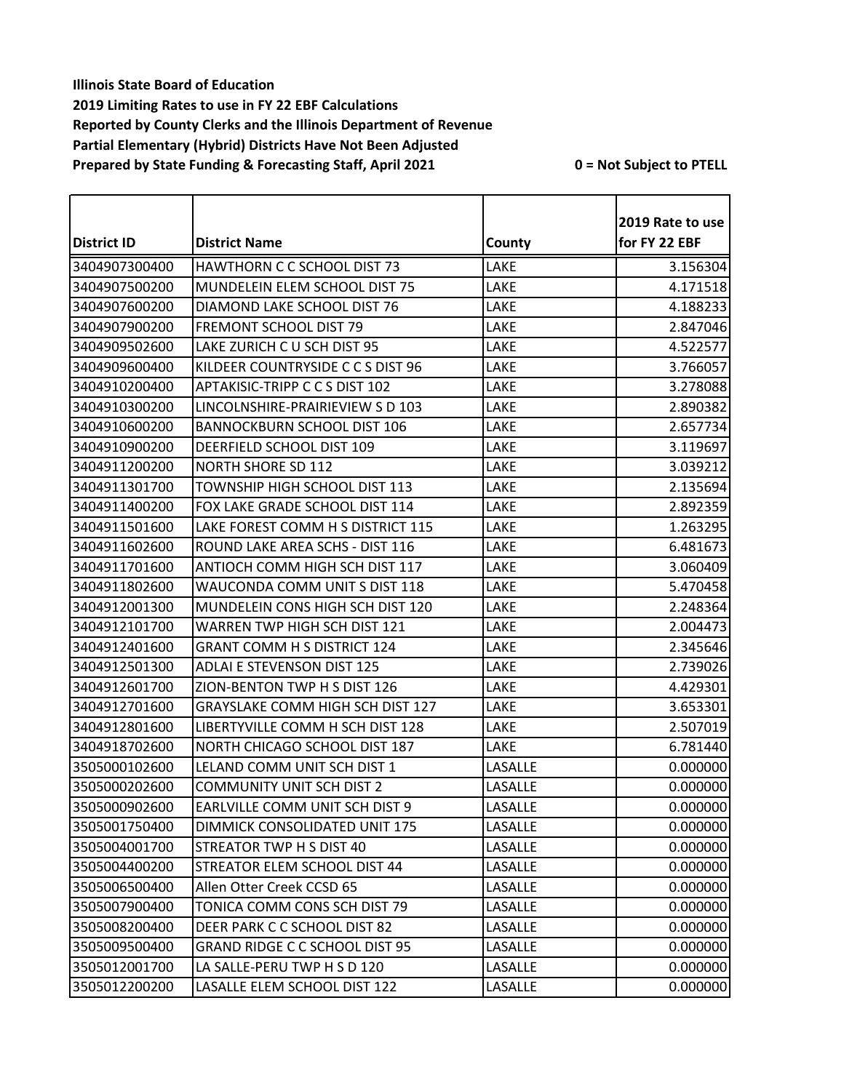|                    |                                         |         | 2019 Rate to use |
|--------------------|-----------------------------------------|---------|------------------|
| <b>District ID</b> | <b>District Name</b>                    | County  | for FY 22 EBF    |
| 3404907300400      | <b>HAWTHORN C C SCHOOL DIST 73</b>      | LAKE    | 3.156304         |
| 3404907500200      | MUNDELEIN ELEM SCHOOL DIST 75           | LAKE    | 4.171518         |
| 3404907600200      | DIAMOND LAKE SCHOOL DIST 76             | LAKE    | 4.188233         |
| 3404907900200      | <b>FREMONT SCHOOL DIST 79</b>           | LAKE    | 2.847046         |
| 3404909502600      | LAKE ZURICH C U SCH DIST 95             | LAKE    | 4.522577         |
| 3404909600400      | KILDEER COUNTRYSIDE C C S DIST 96       | LAKE    | 3.766057         |
| 3404910200400      | APTAKISIC-TRIPP C C S DIST 102          | LAKE    | 3.278088         |
| 3404910300200      | LINCOLNSHIRE-PRAIRIEVIEW SD 103         | LAKE    | 2.890382         |
| 3404910600200      | <b>BANNOCKBURN SCHOOL DIST 106</b>      | LAKE    | 2.657734         |
| 3404910900200      | DEERFIELD SCHOOL DIST 109               | LAKE    | 3.119697         |
| 3404911200200      | <b>NORTH SHORE SD 112</b>               | LAKE    | 3.039212         |
| 3404911301700      | TOWNSHIP HIGH SCHOOL DIST 113           | LAKE    | 2.135694         |
| 3404911400200      | FOX LAKE GRADE SCHOOL DIST 114          | LAKE    | 2.892359         |
| 3404911501600      | LAKE FOREST COMM H S DISTRICT 115       | LAKE    | 1.263295         |
| 3404911602600      | ROUND LAKE AREA SCHS - DIST 116         | LAKE    | 6.481673         |
| 3404911701600      | <b>ANTIOCH COMM HIGH SCH DIST 117</b>   | LAKE    | 3.060409         |
| 3404911802600      | WAUCONDA COMM UNIT S DIST 118           | LAKE    | 5.470458         |
| 3404912001300      | MUNDELEIN CONS HIGH SCH DIST 120        | LAKE    | 2.248364         |
| 3404912101700      | WARREN TWP HIGH SCH DIST 121            | LAKE    | 2.004473         |
| 3404912401600      | <b>GRANT COMM H S DISTRICT 124</b>      | LAKE    | 2.345646         |
| 3404912501300      | <b>ADLAI E STEVENSON DIST 125</b>       | LAKE    | 2.739026         |
| 3404912601700      | ZION-BENTON TWP H S DIST 126            | LAKE    | 4.429301         |
| 3404912701600      | <b>GRAYSLAKE COMM HIGH SCH DIST 127</b> | LAKE    | 3.653301         |
| 3404912801600      | LIBERTYVILLE COMM H SCH DIST 128        | LAKE    | 2.507019         |
| 3404918702600      | NORTH CHICAGO SCHOOL DIST 187           | LAKE    | 6.781440         |
| 3505000102600      | LELAND COMM UNIT SCH DIST 1             | LASALLE | 0.000000         |
| 3505000202600      | <b>COMMUNITY UNIT SCH DIST 2</b>        | LASALLE | 0.000000         |
| 3505000902600      | <b>EARLVILLE COMM UNIT SCH DIST 9</b>   | LASALLE | 0.000000         |
| 3505001750400      | DIMMICK CONSOLIDATED UNIT 175           | LASALLE | 0.000000         |
| 3505004001700      | STREATOR TWP H S DIST 40                | LASALLE | 0.000000         |
| 3505004400200      | STREATOR ELEM SCHOOL DIST 44            | LASALLE | 0.000000         |
| 3505006500400      | Allen Otter Creek CCSD 65               | LASALLE | 0.000000         |
| 3505007900400      | TONICA COMM CONS SCH DIST 79            | LASALLE | 0.000000         |
| 3505008200400      | DEER PARK C C SCHOOL DIST 82            | LASALLE | 0.000000         |
| 3505009500400      | <b>GRAND RIDGE C C SCHOOL DIST 95</b>   | LASALLE | 0.000000         |
| 3505012001700      | LA SALLE-PERU TWP H S D 120             | LASALLE | 0.000000         |
| 3505012200200      | LASALLE ELEM SCHOOL DIST 122            | LASALLE | 0.000000         |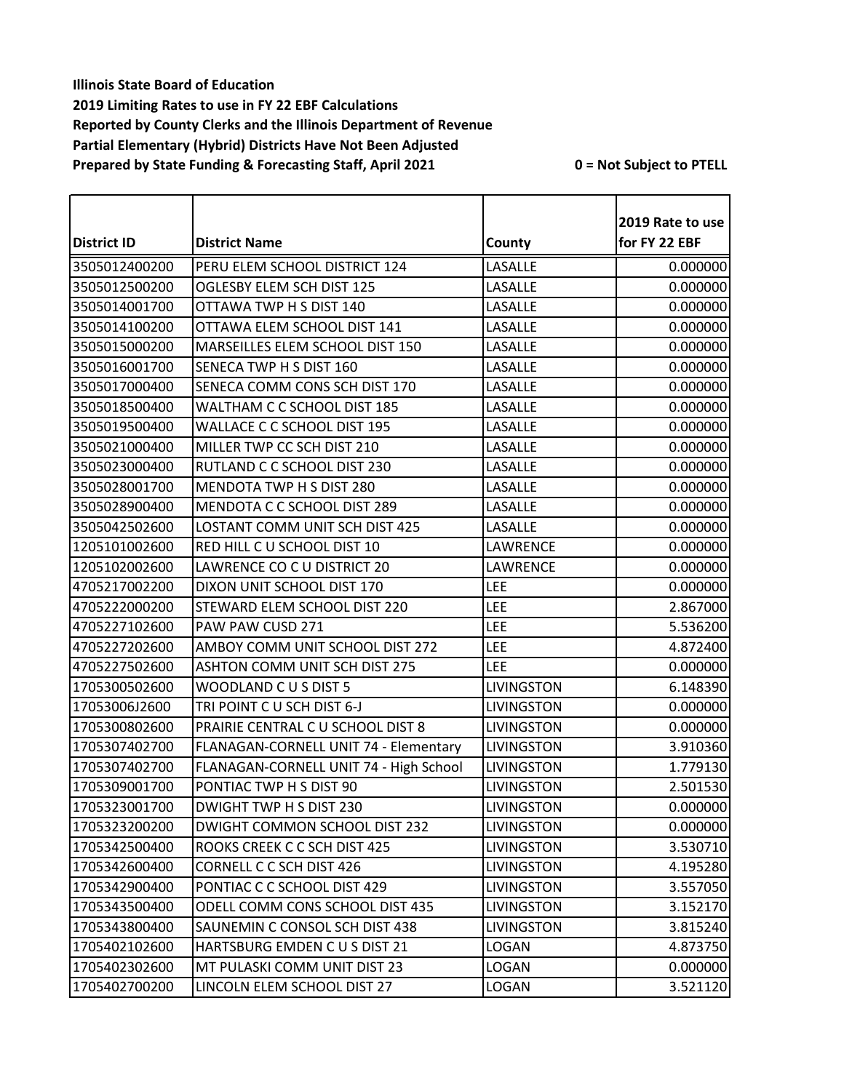|                    |                                        |                   | 2019 Rate to use |
|--------------------|----------------------------------------|-------------------|------------------|
| <b>District ID</b> | <b>District Name</b>                   | County            | for FY 22 EBF    |
| 3505012400200      | PERU ELEM SCHOOL DISTRICT 124          | LASALLE           | 0.000000         |
| 3505012500200      | OGLESBY ELEM SCH DIST 125              | LASALLE           | 0.000000         |
| 3505014001700      | OTTAWA TWP H S DIST 140                | LASALLE           | 0.000000         |
| 3505014100200      | OTTAWA ELEM SCHOOL DIST 141            | LASALLE           | 0.000000         |
| 3505015000200      | MARSEILLES ELEM SCHOOL DIST 150        | LASALLE           | 0.000000         |
| 3505016001700      | SENECA TWP H S DIST 160                | LASALLE           | 0.000000         |
| 3505017000400      | SENECA COMM CONS SCH DIST 170          | LASALLE           | 0.000000         |
| 3505018500400      | WALTHAM C C SCHOOL DIST 185            | LASALLE           | 0.000000         |
| 3505019500400      | WALLACE C C SCHOOL DIST 195            | LASALLE           | 0.000000         |
| 3505021000400      | MILLER TWP CC SCH DIST 210             | LASALLE           | 0.000000         |
| 3505023000400      | RUTLAND C C SCHOOL DIST 230            | LASALLE           | 0.000000         |
| 3505028001700      | MENDOTA TWP H S DIST 280               | LASALLE           | 0.000000         |
| 3505028900400      | MENDOTA C C SCHOOL DIST 289            | LASALLE           | 0.000000         |
| 3505042502600      | LOSTANT COMM UNIT SCH DIST 425         | LASALLE           | 0.000000         |
| 1205101002600      | RED HILL C U SCHOOL DIST 10            | LAWRENCE          | 0.000000         |
| 1205102002600      | LAWRENCE CO C U DISTRICT 20            | LAWRENCE          | 0.000000         |
| 4705217002200      | DIXON UNIT SCHOOL DIST 170             | LEE               | 0.000000         |
| 4705222000200      | STEWARD ELEM SCHOOL DIST 220           | LEE               | 2.867000         |
| 4705227102600      | PAW PAW CUSD 271                       | LEE               | 5.536200         |
| 4705227202600      | AMBOY COMM UNIT SCHOOL DIST 272        | LEE               | 4.872400         |
| 4705227502600      | ASHTON COMM UNIT SCH DIST 275          | LEE               | 0.000000         |
| 1705300502600      | WOODLAND CUS DIST 5                    | <b>LIVINGSTON</b> | 6.148390         |
| 17053006J2600      | TRI POINT CU SCH DIST 6-J              | LIVINGSTON        | 0.000000         |
| 1705300802600      | PRAIRIE CENTRAL C U SCHOOL DIST 8      | <b>LIVINGSTON</b> | 0.000000         |
| 1705307402700      | FLANAGAN-CORNELL UNIT 74 - Elementary  | <b>LIVINGSTON</b> | 3.910360         |
| 1705307402700      | FLANAGAN-CORNELL UNIT 74 - High School | <b>LIVINGSTON</b> | 1.779130         |
| 1705309001700      | PONTIAC TWP H S DIST 90                | LIVINGSTON        | 2.501530         |
| 1705323001700      | DWIGHT TWP H S DIST 230                | <b>LIVINGSTON</b> | 0.000000         |
| 1705323200200      | DWIGHT COMMON SCHOOL DIST 232          | <b>LIVINGSTON</b> | 0.000000         |
| 1705342500400      | ROOKS CREEK C C SCH DIST 425           | LIVINGSTON        | 3.530710         |
| 1705342600400      | CORNELL C C SCH DIST 426               | LIVINGSTON        | 4.195280         |
| 1705342900400      | PONTIAC C C SCHOOL DIST 429            | LIVINGSTON        | 3.557050         |
| 1705343500400      | ODELL COMM CONS SCHOOL DIST 435        | <b>LIVINGSTON</b> | 3.152170         |
| 1705343800400      | SAUNEMIN C CONSOL SCH DIST 438         | <b>LIVINGSTON</b> | 3.815240         |
| 1705402102600      | HARTSBURG EMDEN C U S DIST 21          | <b>LOGAN</b>      | 4.873750         |
| 1705402302600      | MT PULASKI COMM UNIT DIST 23           | <b>LOGAN</b>      | 0.000000         |
| 1705402700200      | LINCOLN ELEM SCHOOL DIST 27            | LOGAN             | 3.521120         |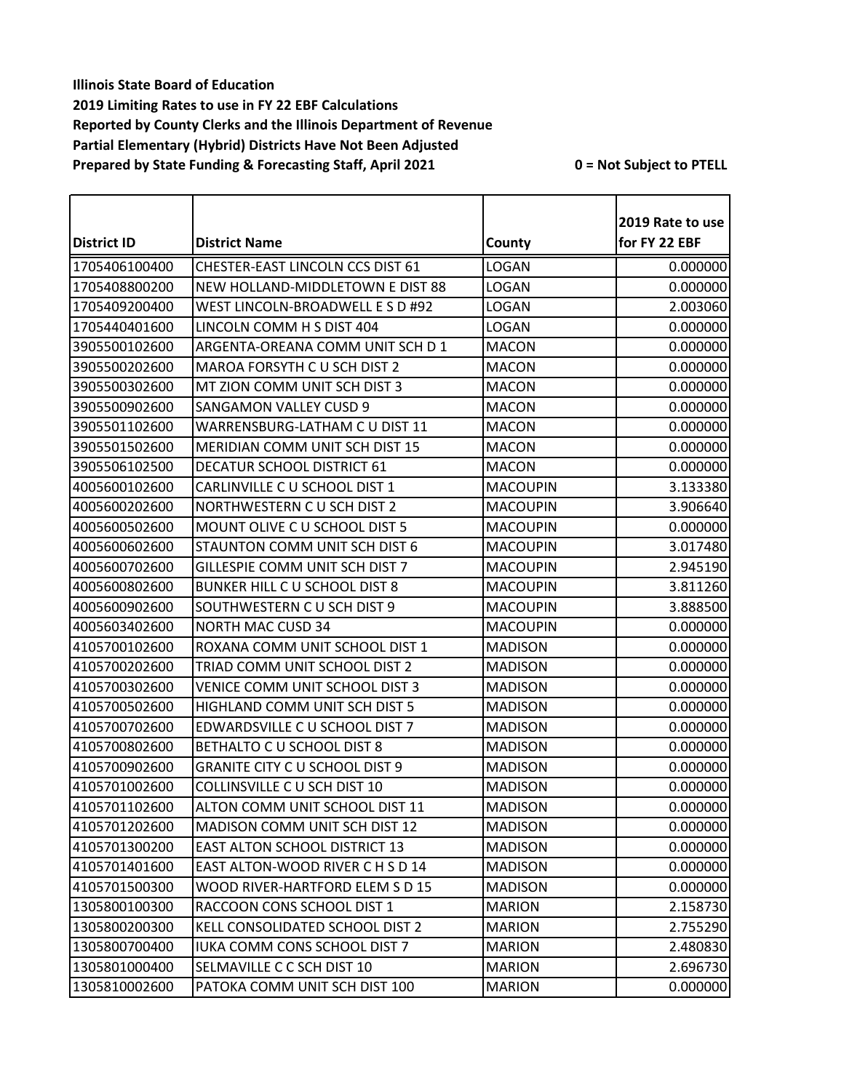|               |                                       |                 | 2019 Rate to use |
|---------------|---------------------------------------|-----------------|------------------|
| District ID   | <b>District Name</b>                  | County          | for FY 22 EBF    |
| 1705406100400 | CHESTER-EAST LINCOLN CCS DIST 61      | <b>LOGAN</b>    | 0.000000         |
| 1705408800200 | NEW HOLLAND-MIDDLETOWN E DIST 88      | <b>LOGAN</b>    | 0.000000         |
| 1705409200400 | WEST LINCOLN-BROADWELL E S D #92      | LOGAN           | 2.003060         |
| 1705440401600 | LINCOLN COMM H S DIST 404             | <b>LOGAN</b>    | 0.000000         |
| 3905500102600 | ARGENTA-OREANA COMM UNIT SCH D 1      | <b>MACON</b>    | 0.000000         |
| 3905500202600 | MAROA FORSYTH C U SCH DIST 2          | <b>MACON</b>    | 0.000000         |
| 3905500302600 | MT ZION COMM UNIT SCH DIST 3          | <b>MACON</b>    | 0.000000         |
| 3905500902600 | <b>SANGAMON VALLEY CUSD 9</b>         | <b>MACON</b>    | 0.000000         |
| 3905501102600 | WARRENSBURG-LATHAM C U DIST 11        | <b>MACON</b>    | 0.000000         |
| 3905501502600 | MERIDIAN COMM UNIT SCH DIST 15        | <b>MACON</b>    | 0.000000         |
| 3905506102500 | <b>DECATUR SCHOOL DISTRICT 61</b>     | <b>MACON</b>    | 0.000000         |
| 4005600102600 | CARLINVILLE C U SCHOOL DIST 1         | <b>MACOUPIN</b> | 3.133380         |
| 4005600202600 | NORTHWESTERN CU SCH DIST 2            | <b>MACOUPIN</b> | 3.906640         |
| 4005600502600 | MOUNT OLIVE C U SCHOOL DIST 5         | <b>MACOUPIN</b> | 0.000000         |
| 4005600602600 | STAUNTON COMM UNIT SCH DIST 6         | <b>MACOUPIN</b> | 3.017480         |
| 4005600702600 | GILLESPIE COMM UNIT SCH DIST 7        | <b>MACOUPIN</b> | 2.945190         |
| 4005600802600 | <b>BUNKER HILL C U SCHOOL DIST 8</b>  | <b>MACOUPIN</b> | 3.811260         |
| 4005600902600 | SOUTHWESTERN C U SCH DIST 9           | <b>MACOUPIN</b> | 3.888500         |
| 4005603402600 | <b>NORTH MAC CUSD 34</b>              | <b>MACOUPIN</b> | 0.000000         |
| 4105700102600 | ROXANA COMM UNIT SCHOOL DIST 1        | <b>MADISON</b>  | 0.000000         |
| 4105700202600 | TRIAD COMM UNIT SCHOOL DIST 2         | <b>MADISON</b>  | 0.000000         |
| 4105700302600 | VENICE COMM UNIT SCHOOL DIST 3        | <b>MADISON</b>  | 0.000000         |
| 4105700502600 | HIGHLAND COMM UNIT SCH DIST 5         | <b>MADISON</b>  | 0.000000         |
| 4105700702600 | EDWARDSVILLE C U SCHOOL DIST 7        | <b>MADISON</b>  | 0.000000         |
| 4105700802600 | BETHALTO C U SCHOOL DIST 8            | <b>MADISON</b>  | 0.000000         |
| 4105700902600 | <b>GRANITE CITY C U SCHOOL DIST 9</b> | <b>MADISON</b>  | 0.000000         |
| 4105701002600 | COLLINSVILLE C U SCH DIST 10          | <b>MADISON</b>  | 0.000000         |
| 4105701102600 | ALTON COMM UNIT SCHOOL DIST 11        | <b>MADISON</b>  | 0.000000         |
| 4105701202600 | MADISON COMM UNIT SCH DIST 12         | <b>MADISON</b>  | 0.000000         |
| 4105701300200 | <b>EAST ALTON SCHOOL DISTRICT 13</b>  | <b>MADISON</b>  | 0.000000         |
| 4105701401600 | EAST ALTON-WOOD RIVER C H S D 14      | <b>MADISON</b>  | 0.000000         |
| 4105701500300 | WOOD RIVER-HARTFORD ELEM S D 15       | <b>MADISON</b>  | 0.000000         |
| 1305800100300 | RACCOON CONS SCHOOL DIST 1            | <b>MARION</b>   | 2.158730         |
| 1305800200300 | KELL CONSOLIDATED SCHOOL DIST 2       | <b>MARION</b>   | 2.755290         |
| 1305800700400 | <b>IUKA COMM CONS SCHOOL DIST 7</b>   | <b>MARION</b>   | 2.480830         |
| 1305801000400 | SELMAVILLE C C SCH DIST 10            | <b>MARION</b>   | 2.696730         |
| 1305810002600 | PATOKA COMM UNIT SCH DIST 100         | <b>MARION</b>   | 0.000000         |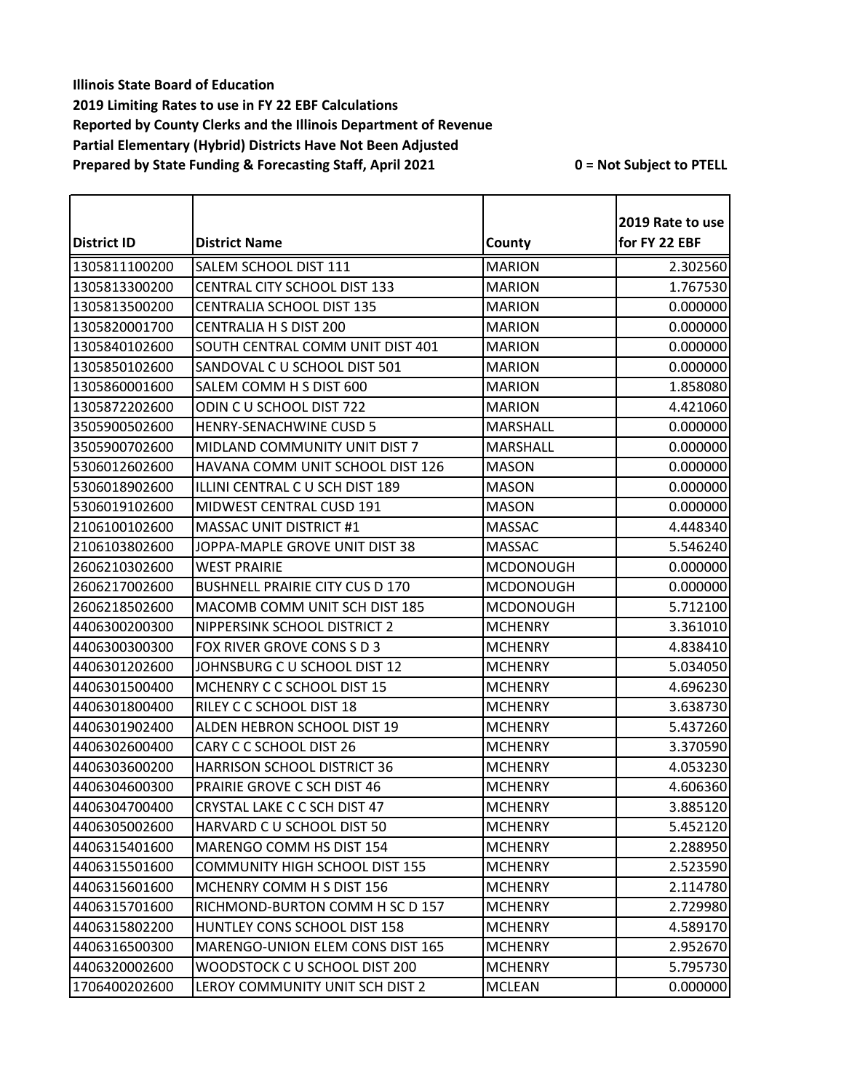| District ID   | <b>District Name</b>                   | County           | 2019 Rate to use<br>for FY 22 EBF |
|---------------|----------------------------------------|------------------|-----------------------------------|
| 1305811100200 | SALEM SCHOOL DIST 111                  | <b>MARION</b>    | 2.302560                          |
| 1305813300200 | CENTRAL CITY SCHOOL DIST 133           | <b>MARION</b>    | 1.767530                          |
| 1305813500200 | CENTRALIA SCHOOL DIST 135              | <b>MARION</b>    | 0.000000                          |
| 1305820001700 | CENTRALIA H S DIST 200                 | <b>MARION</b>    | 0.000000                          |
| 1305840102600 | SOUTH CENTRAL COMM UNIT DIST 401       | <b>MARION</b>    | 0.000000                          |
| 1305850102600 | SANDOVAL C U SCHOOL DIST 501           | <b>MARION</b>    | 0.000000                          |
| 1305860001600 | SALEM COMM H S DIST 600                | <b>MARION</b>    | 1.858080                          |
| 1305872202600 | ODIN CU SCHOOL DIST 722                | <b>MARION</b>    | 4.421060                          |
| 3505900502600 | HENRY-SENACHWINE CUSD 5                | <b>MARSHALL</b>  | 0.000000                          |
| 3505900702600 | MIDLAND COMMUNITY UNIT DIST 7          | <b>MARSHALL</b>  | 0.000000                          |
| 5306012602600 | HAVANA COMM UNIT SCHOOL DIST 126       | <b>MASON</b>     | 0.000000                          |
| 5306018902600 | ILLINI CENTRAL C U SCH DIST 189        | <b>MASON</b>     | 0.000000                          |
| 5306019102600 | MIDWEST CENTRAL CUSD 191               | <b>MASON</b>     | 0.000000                          |
| 2106100102600 | MASSAC UNIT DISTRICT #1                | <b>MASSAC</b>    | 4.448340                          |
| 2106103802600 | JOPPA-MAPLE GROVE UNIT DIST 38         | <b>MASSAC</b>    | 5.546240                          |
| 2606210302600 | <b>WEST PRAIRIE</b>                    | <b>MCDONOUGH</b> | 0.000000                          |
| 2606217002600 | <b>BUSHNELL PRAIRIE CITY CUS D 170</b> | <b>MCDONOUGH</b> | 0.000000                          |
| 2606218502600 | MACOMB COMM UNIT SCH DIST 185          | <b>MCDONOUGH</b> | 5.712100                          |
| 4406300200300 | NIPPERSINK SCHOOL DISTRICT 2           | <b>MCHENRY</b>   | 3.361010                          |
| 4406300300300 | FOX RIVER GROVE CONS S D 3             | <b>MCHENRY</b>   | 4.838410                          |
| 4406301202600 | JOHNSBURG C U SCHOOL DIST 12           | <b>MCHENRY</b>   | 5.034050                          |
| 4406301500400 | MCHENRY C C SCHOOL DIST 15             | <b>MCHENRY</b>   | 4.696230                          |
| 4406301800400 | RILEY C C SCHOOL DIST 18               | <b>MCHENRY</b>   | 3.638730                          |
| 4406301902400 | ALDEN HEBRON SCHOOL DIST 19            | <b>MCHENRY</b>   | 5.437260                          |
| 4406302600400 | CARY C C SCHOOL DIST 26                | <b>MCHENRY</b>   | 3.370590                          |
| 4406303600200 | HARRISON SCHOOL DISTRICT 36            | <b>MCHENRY</b>   | 4.053230                          |
| 4406304600300 | PRAIRIE GROVE C SCH DIST 46            | <b>MCHENRY</b>   | 4.606360                          |
| 4406304700400 | CRYSTAL LAKE C C SCH DIST 47           | <b>MCHENRY</b>   | 3.885120                          |
| 4406305002600 | HARVARD C U SCHOOL DIST 50             | <b>MCHENRY</b>   | 5.452120                          |
| 4406315401600 | MARENGO COMM HS DIST 154               | <b>MCHENRY</b>   | 2.288950                          |
| 4406315501600 | <b>COMMUNITY HIGH SCHOOL DIST 155</b>  | <b>MCHENRY</b>   | 2.523590                          |
| 4406315601600 | MCHENRY COMM H S DIST 156              | <b>MCHENRY</b>   | 2.114780                          |
| 4406315701600 | RICHMOND-BURTON COMM H SC D 157        | <b>MCHENRY</b>   | 2.729980                          |
| 4406315802200 | HUNTLEY CONS SCHOOL DIST 158           | <b>MCHENRY</b>   | 4.589170                          |
| 4406316500300 | MARENGO-UNION ELEM CONS DIST 165       | <b>MCHENRY</b>   | 2.952670                          |
| 4406320002600 | WOODSTOCK C U SCHOOL DIST 200          | <b>MCHENRY</b>   | 5.795730                          |
| 1706400202600 | LEROY COMMUNITY UNIT SCH DIST 2        | <b>MCLEAN</b>    | 0.000000                          |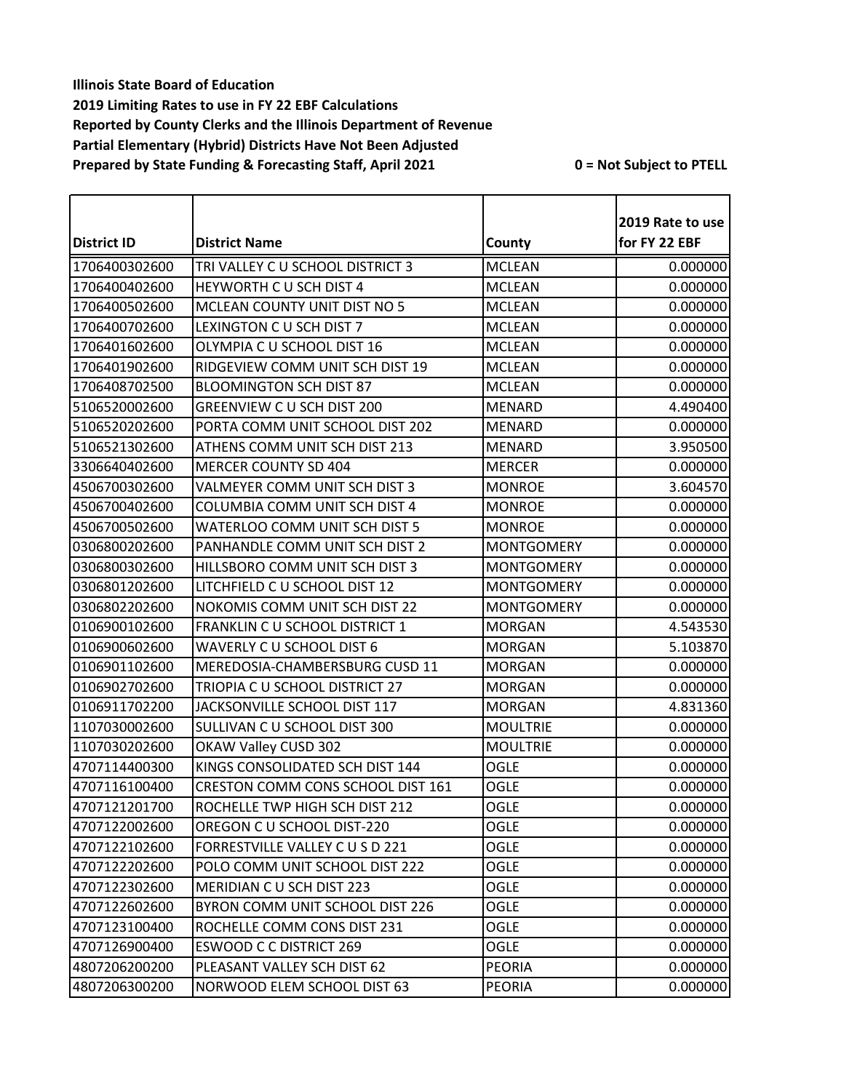|                    |                                      |                   | 2019 Rate to use |
|--------------------|--------------------------------------|-------------------|------------------|
| <b>District ID</b> | <b>District Name</b>                 | County            | for FY 22 EBF    |
| 1706400302600      | TRI VALLEY C U SCHOOL DISTRICT 3     | <b>MCLEAN</b>     | 0.000000         |
| 1706400402600      | HEYWORTH CU SCH DIST 4               | <b>MCLEAN</b>     | 0.000000         |
| 1706400502600      | MCLEAN COUNTY UNIT DIST NO 5         | <b>MCLEAN</b>     | 0.000000         |
| 1706400702600      | LEXINGTON C U SCH DIST 7             | <b>MCLEAN</b>     | 0.000000         |
| 1706401602600      | OLYMPIA C U SCHOOL DIST 16           | <b>MCLEAN</b>     | 0.000000         |
| 1706401902600      | RIDGEVIEW COMM UNIT SCH DIST 19      | <b>MCLEAN</b>     | 0.000000         |
| 1706408702500      | <b>BLOOMINGTON SCH DIST 87</b>       | <b>MCLEAN</b>     | 0.000000         |
| 5106520002600      | GREENVIEW C U SCH DIST 200           | <b>MENARD</b>     | 4.490400         |
| 5106520202600      | PORTA COMM UNIT SCHOOL DIST 202      | <b>MENARD</b>     | 0.000000         |
| 5106521302600      | ATHENS COMM UNIT SCH DIST 213        | <b>MENARD</b>     | 3.950500         |
| 3306640402600      | <b>MERCER COUNTY SD 404</b>          | <b>MERCER</b>     | 0.000000         |
| 4506700302600      | VALMEYER COMM UNIT SCH DIST 3        | <b>MONROE</b>     | 3.604570         |
| 4506700402600      | <b>COLUMBIA COMM UNIT SCH DIST 4</b> | <b>MONROE</b>     | 0.000000         |
| 4506700502600      | WATERLOO COMM UNIT SCH DIST 5        | <b>MONROE</b>     | 0.000000         |
| 0306800202600      | PANHANDLE COMM UNIT SCH DIST 2       | <b>MONTGOMERY</b> | 0.000000         |
| 0306800302600      | HILLSBORO COMM UNIT SCH DIST 3       | <b>MONTGOMERY</b> | 0.000000         |
| 0306801202600      | LITCHFIELD C U SCHOOL DIST 12        | <b>MONTGOMERY</b> | 0.000000         |
| 0306802202600      | NOKOMIS COMM UNIT SCH DIST 22        | <b>MONTGOMERY</b> | 0.000000         |
| 0106900102600      | FRANKLIN C U SCHOOL DISTRICT 1       | <b>MORGAN</b>     | 4.543530         |
| 0106900602600      | WAVERLY C U SCHOOL DIST 6            | <b>MORGAN</b>     | 5.103870         |
| 0106901102600      | MEREDOSIA-CHAMBERSBURG CUSD 11       | <b>MORGAN</b>     | 0.000000         |
| 0106902702600      | TRIOPIA C U SCHOOL DISTRICT 27       | <b>MORGAN</b>     | 0.000000         |
| 0106911702200      | JACKSONVILLE SCHOOL DIST 117         | <b>MORGAN</b>     | 4.831360         |
| 1107030002600      | SULLIVAN C U SCHOOL DIST 300         | <b>MOULTRIE</b>   | 0.000000         |
| 1107030202600      | OKAW Valley CUSD 302                 | <b>MOULTRIE</b>   | 0.000000         |
| 4707114400300      | KINGS CONSOLIDATED SCH DIST 144      | <b>OGLE</b>       | 0.000000         |
| 4707116100400      | CRESTON COMM CONS SCHOOL DIST 161    | OGLE              | 0.000000         |
| 4707121201700      | ROCHELLE TWP HIGH SCH DIST 212       | <b>OGLE</b>       | 0.000000         |
| 4707122002600      | OREGON C U SCHOOL DIST-220           | <b>OGLE</b>       | 0.000000         |
| 4707122102600      | FORRESTVILLE VALLEY C U S D 221      | OGLE              | 0.000000         |
| 4707122202600      | POLO COMM UNIT SCHOOL DIST 222       | OGLE              | 0.000000         |
| 4707122302600      | MERIDIAN CU SCH DIST 223             | <b>OGLE</b>       | 0.000000         |
| 4707122602600      | BYRON COMM UNIT SCHOOL DIST 226      | OGLE              | 0.000000         |
| 4707123100400      | ROCHELLE COMM CONS DIST 231          | OGLE              | 0.000000         |
| 4707126900400      | <b>ESWOOD C C DISTRICT 269</b>       | OGLE              | 0.000000         |
| 4807206200200      | PLEASANT VALLEY SCH DIST 62          | <b>PEORIA</b>     | 0.000000         |
| 4807206300200      | NORWOOD ELEM SCHOOL DIST 63          | <b>PEORIA</b>     | 0.000000         |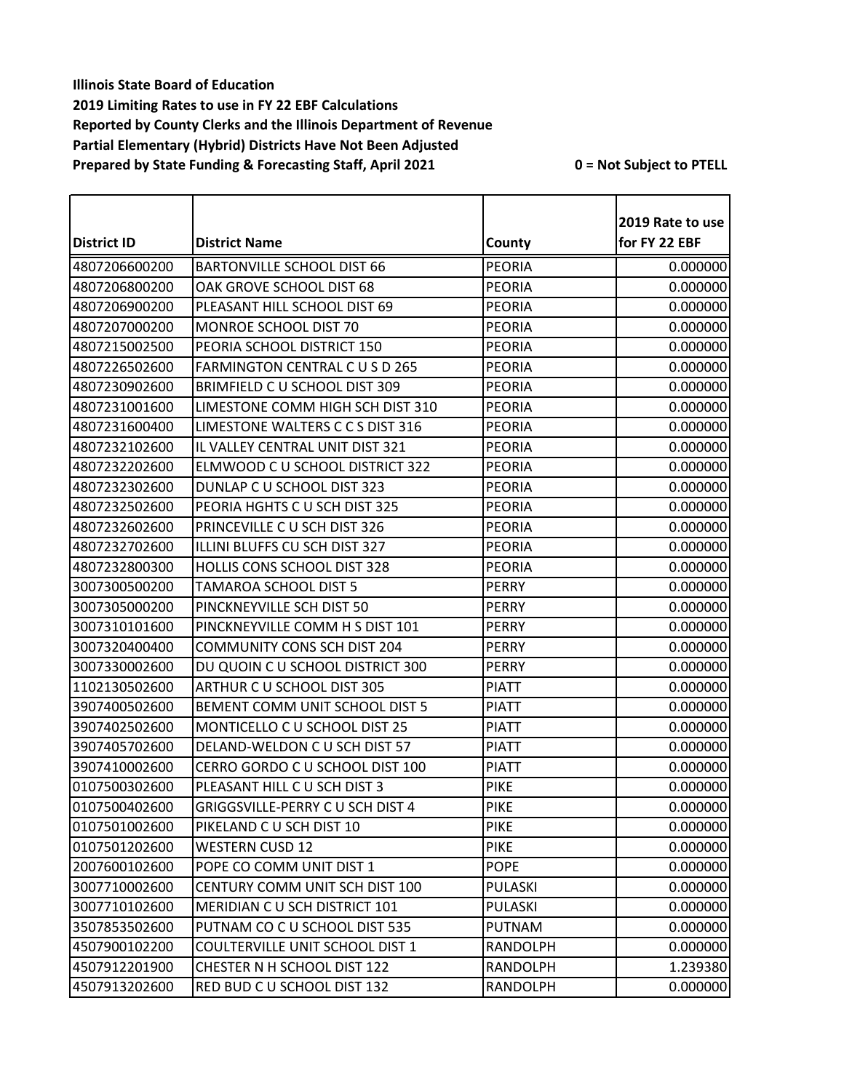|                    |                                         |               | 2019 Rate to use |
|--------------------|-----------------------------------------|---------------|------------------|
| <b>District ID</b> | <b>District Name</b>                    | County        | for FY 22 EBF    |
| 4807206600200      | <b>BARTONVILLE SCHOOL DIST 66</b>       | <b>PEORIA</b> | 0.000000         |
| 4807206800200      | OAK GROVE SCHOOL DIST 68                | <b>PEORIA</b> | 0.000000         |
| 4807206900200      | PLEASANT HILL SCHOOL DIST 69            | <b>PEORIA</b> | 0.000000         |
| 4807207000200      | MONROE SCHOOL DIST 70                   | <b>PEORIA</b> | 0.000000         |
| 4807215002500      | PEORIA SCHOOL DISTRICT 150              | <b>PEORIA</b> | 0.000000         |
| 4807226502600      | FARMINGTON CENTRAL C U S D 265          | <b>PEORIA</b> | 0.000000         |
| 4807230902600      | BRIMFIELD C U SCHOOL DIST 309           | <b>PEORIA</b> | 0.000000         |
| 4807231001600      | LIMESTONE COMM HIGH SCH DIST 310        | <b>PEORIA</b> | 0.000000         |
| 4807231600400      | LIMESTONE WALTERS C C S DIST 316        | <b>PEORIA</b> | 0.000000         |
| 4807232102600      | IL VALLEY CENTRAL UNIT DIST 321         | <b>PEORIA</b> | 0.000000         |
| 4807232202600      | ELMWOOD C U SCHOOL DISTRICT 322         | <b>PEORIA</b> | 0.000000         |
| 4807232302600      | DUNLAP C U SCHOOL DIST 323              | <b>PEORIA</b> | 0.000000         |
| 4807232502600      | PEORIA HGHTS C U SCH DIST 325           | <b>PEORIA</b> | 0.000000         |
| 4807232602600      | PRINCEVILLE C U SCH DIST 326            | PEORIA        | 0.000000         |
| 4807232702600      | ILLINI BLUFFS CU SCH DIST 327           | <b>PEORIA</b> | 0.000000         |
| 4807232800300      | <b>HOLLIS CONS SCHOOL DIST 328</b>      | <b>PEORIA</b> | 0.000000         |
| 3007300500200      | TAMAROA SCHOOL DIST 5                   | <b>PERRY</b>  | 0.000000         |
| 3007305000200      | PINCKNEYVILLE SCH DIST 50               | <b>PERRY</b>  | 0.000000         |
| 3007310101600      | PINCKNEYVILLE COMM H S DIST 101         | <b>PERRY</b>  | 0.000000         |
| 3007320400400      | <b>COMMUNITY CONS SCH DIST 204</b>      | <b>PERRY</b>  | 0.000000         |
| 3007330002600      | DU QUOIN C U SCHOOL DISTRICT 300        | <b>PERRY</b>  | 0.000000         |
| 1102130502600      | ARTHUR CU SCHOOL DIST 305               | <b>PIATT</b>  | 0.000000         |
| 3907400502600      | BEMENT COMM UNIT SCHOOL DIST 5          | <b>PIATT</b>  | 0.000000         |
| 3907402502600      | MONTICELLO C U SCHOOL DIST 25           | <b>PIATT</b>  | 0.000000         |
| 3907405702600      | DELAND-WELDON C U SCH DIST 57           | <b>PIATT</b>  | 0.000000         |
| 3907410002600      | CERRO GORDO C U SCHOOL DIST 100         | <b>PIATT</b>  | 0.000000         |
| 0107500302600      | PLEASANT HILL C U SCH DIST 3            | <b>PIKE</b>   | 0.000000         |
| 0107500402600      | <b>GRIGGSVILLE-PERRY C U SCH DIST 4</b> | <b>PIKE</b>   | 0.000000         |
| 0107501002600      | PIKELAND C U SCH DIST 10                | <b>PIKE</b>   | 0.000000         |
| 0107501202600      | <b>WESTERN CUSD 12</b>                  | <b>PIKE</b>   | 0.000000         |
| 2007600102600      | POPE CO COMM UNIT DIST 1                | <b>POPE</b>   | 0.000000         |
| 3007710002600      | CENTURY COMM UNIT SCH DIST 100          | PULASKI       | 0.000000         |
| 3007710102600      | <b>MERIDIAN CU SCH DISTRICT 101</b>     | PULASKI       | 0.000000         |
| 3507853502600      | PUTNAM CO C U SCHOOL DIST 535           | <b>PUTNAM</b> | 0.000000         |
| 4507900102200      | COULTERVILLE UNIT SCHOOL DIST 1         | RANDOLPH      | 0.000000         |
| 4507912201900      | CHESTER N H SCHOOL DIST 122             | RANDOLPH      | 1.239380         |
| 4507913202600      | RED BUD C U SCHOOL DIST 132             | RANDOLPH      | 0.000000         |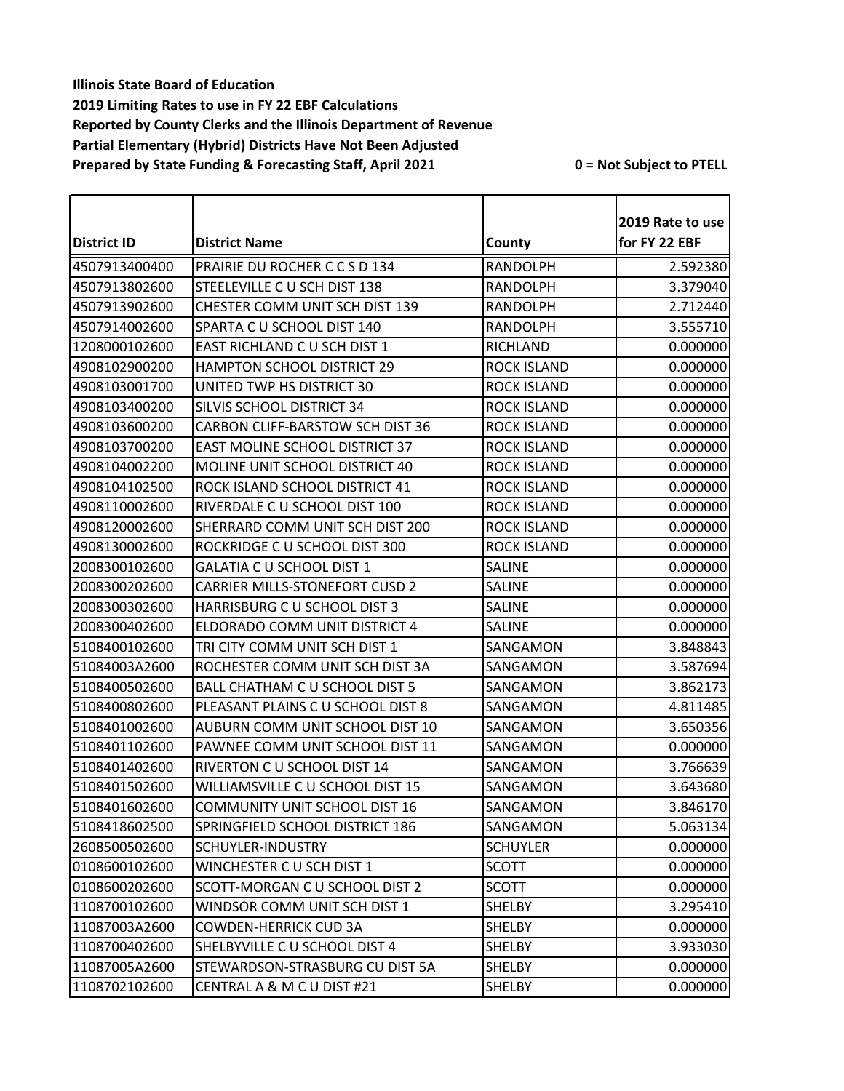|                    |                                       |                    | 2019 Rate to use |
|--------------------|---------------------------------------|--------------------|------------------|
| <b>District ID</b> | <b>District Name</b>                  | County             | for FY 22 EBF    |
| 4507913400400      | PRAIRIE DU ROCHER C C S D 134         | <b>RANDOLPH</b>    | 2.592380         |
| 4507913802600      | STEELEVILLE C U SCH DIST 138          | <b>RANDOLPH</b>    | 3.379040         |
| 4507913902600      | CHESTER COMM UNIT SCH DIST 139        | <b>RANDOLPH</b>    | 2.712440         |
| 4507914002600      | SPARTA C U SCHOOL DIST 140            | <b>RANDOLPH</b>    | 3.555710         |
| 1208000102600      | EAST RICHLAND C U SCH DIST 1          | RICHLAND           | 0.000000         |
| 4908102900200      | <b>HAMPTON SCHOOL DISTRICT 29</b>     | <b>ROCK ISLAND</b> | 0.000000         |
| 4908103001700      | UNITED TWP HS DISTRICT 30             | <b>ROCK ISLAND</b> | 0.000000         |
| 4908103400200      | SILVIS SCHOOL DISTRICT 34             | <b>ROCK ISLAND</b> | 0.000000         |
| 4908103600200      | CARBON CLIFF-BARSTOW SCH DIST 36      | <b>ROCK ISLAND</b> | 0.000000         |
| 4908103700200      | <b>EAST MOLINE SCHOOL DISTRICT 37</b> | <b>ROCK ISLAND</b> | 0.000000         |
| 4908104002200      | MOLINE UNIT SCHOOL DISTRICT 40        | <b>ROCK ISLAND</b> | 0.000000         |
| 4908104102500      | ROCK ISLAND SCHOOL DISTRICT 41        | <b>ROCK ISLAND</b> | 0.000000         |
| 4908110002600      | RIVERDALE C U SCHOOL DIST 100         | <b>ROCK ISLAND</b> | 0.000000         |
| 4908120002600      | SHERRARD COMM UNIT SCH DIST 200       | <b>ROCK ISLAND</b> | 0.000000         |
| 4908130002600      | ROCKRIDGE C U SCHOOL DIST 300         | <b>ROCK ISLAND</b> | 0.000000         |
| 2008300102600      | <b>GALATIA C U SCHOOL DIST 1</b>      | <b>SALINE</b>      | 0.000000         |
| 2008300202600      | <b>CARRIER MILLS-STONEFORT CUSD 2</b> | <b>SALINE</b>      | 0.000000         |
| 2008300302600      | HARRISBURG C U SCHOOL DIST 3          | <b>SALINE</b>      | 0.000000         |
| 2008300402600      | ELDORADO COMM UNIT DISTRICT 4         | <b>SALINE</b>      | 0.000000         |
| 5108400102600      | TRI CITY COMM UNIT SCH DIST 1         | SANGAMON           | 3.848843         |
| 51084003A2600      | ROCHESTER COMM UNIT SCH DIST 3A       | SANGAMON           | 3.587694         |
| 5108400502600      | BALL CHATHAM C U SCHOOL DIST 5        | SANGAMON           | 3.862173         |
| 5108400802600      | PLEASANT PLAINS C U SCHOOL DIST 8     | SANGAMON           | 4.811485         |
| 5108401002600      | AUBURN COMM UNIT SCHOOL DIST 10       | SANGAMON           | 3.650356         |
| 5108401102600      | PAWNEE COMM UNIT SCHOOL DIST 11       | SANGAMON           | 0.000000         |
| 5108401402600      | RIVERTON C U SCHOOL DIST 14           | SANGAMON           | 3.766639         |
| 5108401502600      | WILLIAMSVILLE C U SCHOOL DIST 15      | SANGAMON           | 3.643680         |
| 5108401602600      | <b>COMMUNITY UNIT SCHOOL DIST 16</b>  | SANGAMON           | 3.846170         |
| 5108418602500      | SPRINGFIELD SCHOOL DISTRICT 186       | SANGAMON           | 5.063134         |
| 2608500502600      | SCHUYLER-INDUSTRY                     | <b>SCHUYLER</b>    | 0.000000         |
| 0108600102600      | WINCHESTER C U SCH DIST 1             | <b>SCOTT</b>       | 0.000000         |
| 0108600202600      | SCOTT-MORGAN C U SCHOOL DIST 2        | <b>SCOTT</b>       | 0.000000         |
| 1108700102600      | WINDSOR COMM UNIT SCH DIST 1          | SHELBY             | 3.295410         |
| 11087003A2600      | <b>COWDEN-HERRICK CUD 3A</b>          | SHELBY             | 0.000000         |
| 1108700402600      | SHELBYVILLE C U SCHOOL DIST 4         | SHELBY             | 3.933030         |
| 11087005A2600      | STEWARDSON-STRASBURG CU DIST 5A       | SHELBY             | 0.000000         |
| 1108702102600      | CENTRAL A & M C U DIST #21            | SHELBY             | 0.000000         |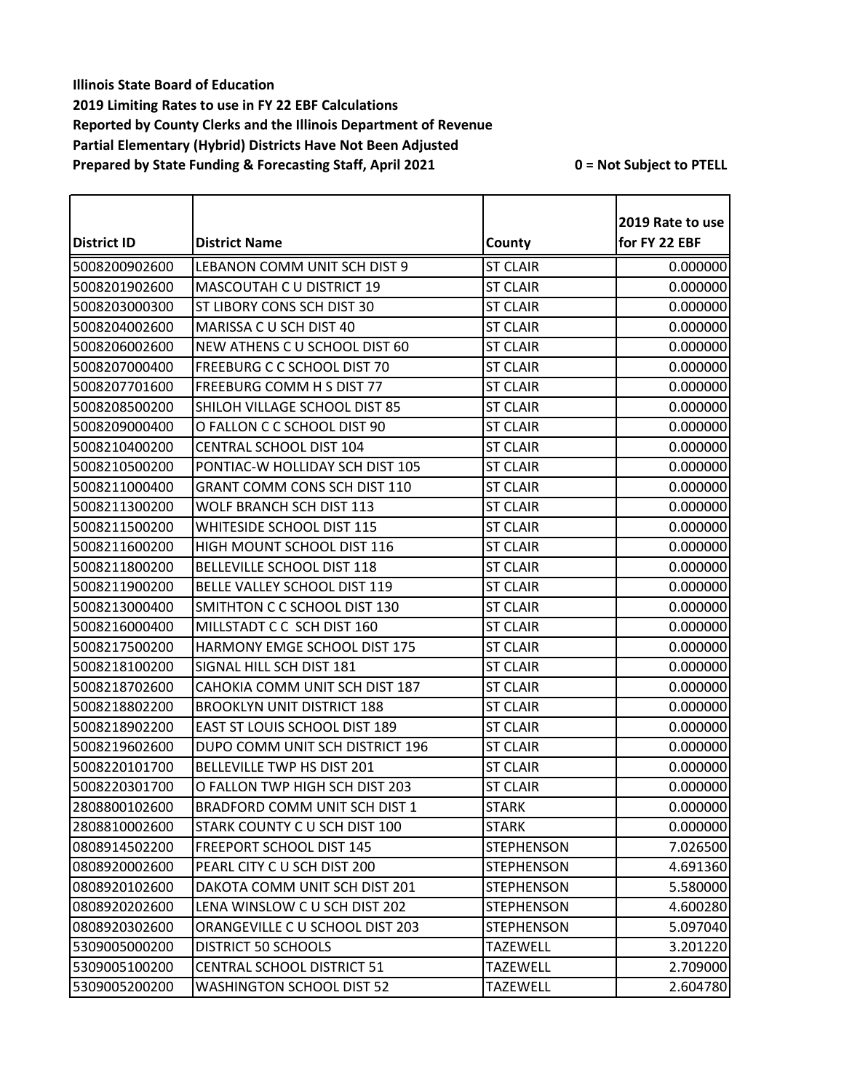| <b>District ID</b> | <b>District Name</b>              | County            | 2019 Rate to use<br>for FY 22 EBF |
|--------------------|-----------------------------------|-------------------|-----------------------------------|
| 5008200902600      | LEBANON COMM UNIT SCH DIST 9      | <b>ST CLAIR</b>   | 0.000000                          |
| 5008201902600      | MASCOUTAH C U DISTRICT 19         | <b>ST CLAIR</b>   | 0.000000                          |
| 5008203000300      | ST LIBORY CONS SCH DIST 30        | <b>ST CLAIR</b>   | 0.000000                          |
| 5008204002600      | MARISSA C U SCH DIST 40           | <b>ST CLAIR</b>   | 0.000000                          |
| 5008206002600      | NEW ATHENS C U SCHOOL DIST 60     | <b>ST CLAIR</b>   | 0.000000                          |
| 5008207000400      | FREEBURG C C SCHOOL DIST 70       | <b>ST CLAIR</b>   | 0.000000                          |
| 5008207701600      | FREEBURG COMM H S DIST 77         | <b>ST CLAIR</b>   | 0.000000                          |
| 5008208500200      | SHILOH VILLAGE SCHOOL DIST 85     | <b>ST CLAIR</b>   | 0.000000                          |
| 5008209000400      | O FALLON C C SCHOOL DIST 90       | <b>ST CLAIR</b>   | 0.000000                          |
| 5008210400200      | CENTRAL SCHOOL DIST 104           | <b>ST CLAIR</b>   | 0.000000                          |
| 5008210500200      | PONTIAC-W HOLLIDAY SCH DIST 105   | <b>ST CLAIR</b>   | 0.000000                          |
| 5008211000400      | GRANT COMM CONS SCH DIST 110      | <b>ST CLAIR</b>   | 0.000000                          |
| 5008211300200      | <b>WOLF BRANCH SCH DIST 113</b>   | <b>ST CLAIR</b>   | 0.000000                          |
| 5008211500200      | <b>WHITESIDE SCHOOL DIST 115</b>  | <b>ST CLAIR</b>   | 0.000000                          |
| 5008211600200      | HIGH MOUNT SCHOOL DIST 116        | <b>ST CLAIR</b>   | 0.000000                          |
| 5008211800200      | <b>BELLEVILLE SCHOOL DIST 118</b> | <b>ST CLAIR</b>   | 0.000000                          |
| 5008211900200      | BELLE VALLEY SCHOOL DIST 119      | <b>ST CLAIR</b>   | 0.000000                          |
| 5008213000400      | SMITHTON C C SCHOOL DIST 130      | <b>ST CLAIR</b>   | 0.000000                          |
| 5008216000400      | MILLSTADT C C SCH DIST 160        | <b>ST CLAIR</b>   | 0.000000                          |
| 5008217500200      | HARMONY EMGE SCHOOL DIST 175      | <b>ST CLAIR</b>   | 0.000000                          |
| 5008218100200      | SIGNAL HILL SCH DIST 181          | <b>ST CLAIR</b>   | 0.000000                          |
| 5008218702600      | CAHOKIA COMM UNIT SCH DIST 187    | <b>ST CLAIR</b>   | 0.000000                          |
| 5008218802200      | <b>BROOKLYN UNIT DISTRICT 188</b> | <b>ST CLAIR</b>   | 0.000000                          |
| 5008218902200      | EAST ST LOUIS SCHOOL DIST 189     | <b>ST CLAIR</b>   | 0.000000                          |
| 5008219602600      | DUPO COMM UNIT SCH DISTRICT 196   | <b>ST CLAIR</b>   | 0.000000                          |
| 5008220101700      | <b>BELLEVILLE TWP HS DIST 201</b> | <b>ST CLAIR</b>   | 0.000000                          |
| 5008220301700      | O FALLON TWP HIGH SCH DIST 203    | <b>ST CLAIR</b>   | 0.000000                          |
| 2808800102600      | BRADFORD COMM UNIT SCH DIST 1     | <b>STARK</b>      | 0.000000                          |
| 2808810002600      | STARK COUNTY C U SCH DIST 100     | <b>STARK</b>      | 0.000000                          |
| 0808914502200      | FREEPORT SCHOOL DIST 145          | <b>STEPHENSON</b> | 7.026500                          |
| 0808920002600      | PEARL CITY C U SCH DIST 200       | <b>STEPHENSON</b> | 4.691360                          |
| 0808920102600      | DAKOTA COMM UNIT SCH DIST 201     | <b>STEPHENSON</b> | 5.580000                          |
| 0808920202600      | LENA WINSLOW C U SCH DIST 202     | <b>STEPHENSON</b> | 4.600280                          |
| 0808920302600      | ORANGEVILLE C U SCHOOL DIST 203   | <b>STEPHENSON</b> | 5.097040                          |
| 5309005000200      | <b>DISTRICT 50 SCHOOLS</b>        | <b>TAZEWELL</b>   | 3.201220                          |
| 5309005100200      | <b>CENTRAL SCHOOL DISTRICT 51</b> | <b>TAZEWELL</b>   | 2.709000                          |
| 5309005200200      | <b>WASHINGTON SCHOOL DIST 52</b>  | <b>TAZEWELL</b>   | 2.604780                          |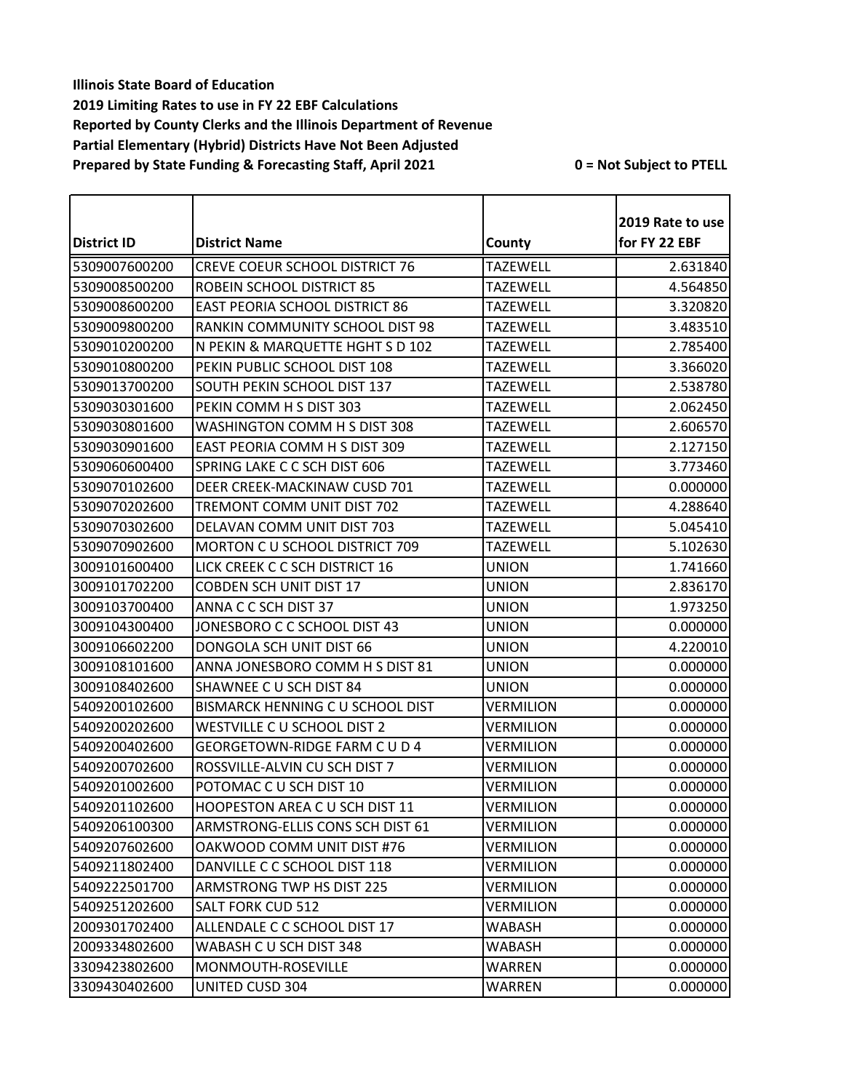|               |                                       |                  | 2019 Rate to use |
|---------------|---------------------------------------|------------------|------------------|
| District ID   | <b>District Name</b>                  | County           | for FY 22 EBF    |
| 5309007600200 | CREVE COEUR SCHOOL DISTRICT 76        | <b>TAZEWELL</b>  | 2.631840         |
| 5309008500200 | ROBEIN SCHOOL DISTRICT 85             | <b>TAZEWELL</b>  | 4.564850         |
| 5309008600200 | <b>EAST PEORIA SCHOOL DISTRICT 86</b> | <b>TAZEWELL</b>  | 3.320820         |
| 5309009800200 | RANKIN COMMUNITY SCHOOL DIST 98       | <b>TAZEWELL</b>  | 3.483510         |
| 5309010200200 | N PEKIN & MARQUETTE HGHT S D 102      | <b>TAZEWELL</b>  | 2.785400         |
| 5309010800200 | PEKIN PUBLIC SCHOOL DIST 108          | <b>TAZEWELL</b>  | 3.366020         |
| 5309013700200 | SOUTH PEKIN SCHOOL DIST 137           | <b>TAZEWELL</b>  | 2.538780         |
| 5309030301600 | PEKIN COMM H S DIST 303               | TAZEWELL         | 2.062450         |
| 5309030801600 | WASHINGTON COMM H S DIST 308          | <b>TAZEWELL</b>  | 2.606570         |
| 5309030901600 | EAST PEORIA COMM H S DIST 309         | <b>TAZEWELL</b>  | 2.127150         |
| 5309060600400 | SPRING LAKE C C SCH DIST 606          | <b>TAZEWELL</b>  | 3.773460         |
| 5309070102600 | DEER CREEK-MACKINAW CUSD 701          | <b>TAZEWELL</b>  | 0.000000         |
| 5309070202600 | TREMONT COMM UNIT DIST 702            | <b>TAZEWELL</b>  | 4.288640         |
| 5309070302600 | DELAVAN COMM UNIT DIST 703            | <b>TAZEWELL</b>  | 5.045410         |
| 5309070902600 | MORTON C U SCHOOL DISTRICT 709        | <b>TAZEWELL</b>  | 5.102630         |
| 3009101600400 | LICK CREEK C C SCH DISTRICT 16        | <b>UNION</b>     | 1.741660         |
| 3009101702200 | <b>COBDEN SCH UNIT DIST 17</b>        | <b>UNION</b>     | 2.836170         |
| 3009103700400 | ANNA C C SCH DIST 37                  | <b>UNION</b>     | 1.973250         |
| 3009104300400 | JONESBORO C C SCHOOL DIST 43          | <b>UNION</b>     | 0.000000         |
| 3009106602200 | DONGOLA SCH UNIT DIST 66              | <b>UNION</b>     | 4.220010         |
| 3009108101600 | ANNA JONESBORO COMM H S DIST 81       | <b>UNION</b>     | 0.000000         |
| 3009108402600 | SHAWNEE C U SCH DIST 84               | <b>UNION</b>     | 0.000000         |
| 5409200102600 | BISMARCK HENNING C U SCHOOL DIST      | VERMILION        | 0.000000         |
| 5409200202600 | WESTVILLE C U SCHOOL DIST 2           | <b>VERMILION</b> | 0.000000         |
| 5409200402600 | GEORGETOWN-RIDGE FARM C U D 4         | VERMILION        | 0.000000         |
| 5409200702600 | ROSSVILLE-ALVIN CU SCH DIST 7         | <b>VERMILION</b> | 0.000000         |
| 5409201002600 | POTOMAC C U SCH DIST 10               | VERMILION        | 0.000000         |
| 5409201102600 | <b>HOOPESTON AREA C U SCH DIST 11</b> | VERMILION        | 0.000000         |
| 5409206100300 | ARMSTRONG-ELLIS CONS SCH DIST 61      | <b>VERMILION</b> | 0.000000         |
| 5409207602600 | OAKWOOD COMM UNIT DIST #76            | VERMILION        | 0.000000         |
| 5409211802400 | DANVILLE C C SCHOOL DIST 118          | VERMILION        | 0.000000         |
| 5409222501700 | <b>ARMSTRONG TWP HS DIST 225</b>      | VERMILION        | 0.000000         |
| 5409251202600 | <b>SALT FORK CUD 512</b>              | <b>VERMILION</b> | 0.000000         |
| 2009301702400 | ALLENDALE C C SCHOOL DIST 17          | WABASH           | 0.000000         |
| 2009334802600 | WABASH C U SCH DIST 348               | WABASH           | 0.000000         |
| 3309423802600 | MONMOUTH-ROSEVILLE                    | WARREN           | 0.000000         |
| 3309430402600 | <b>UNITED CUSD 304</b>                | WARREN           | 0.000000         |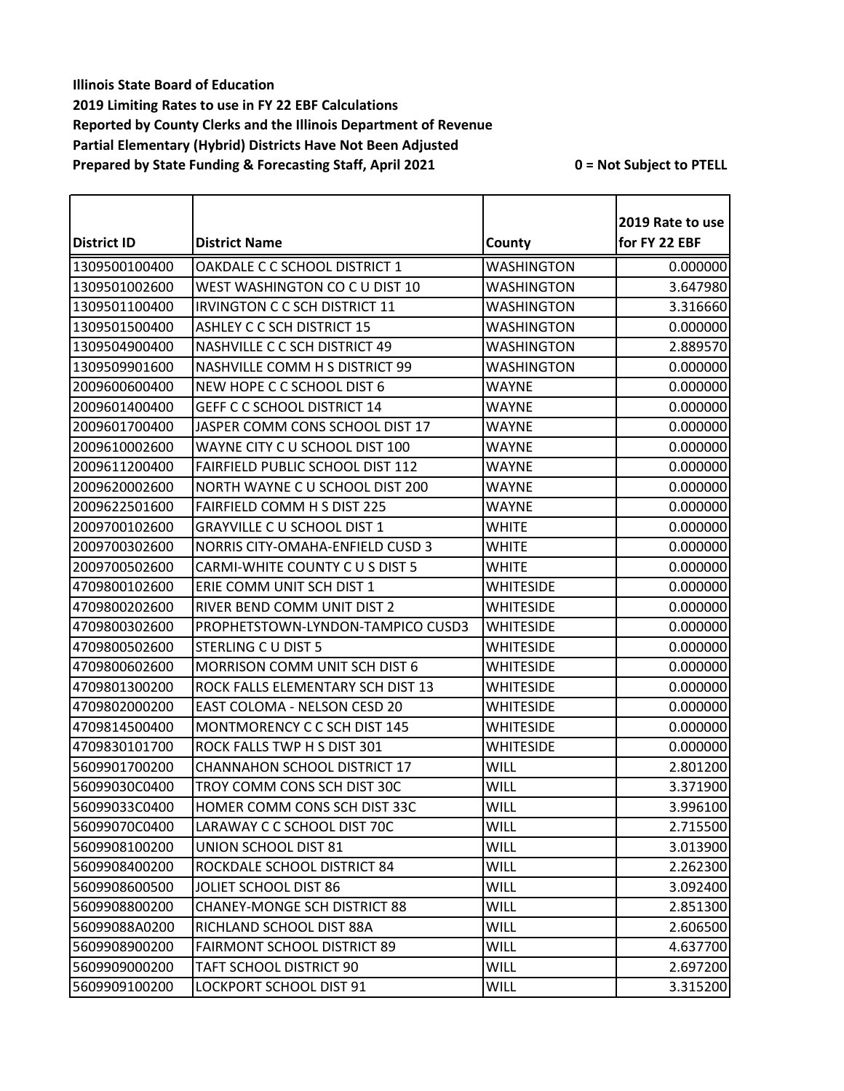|                    |                                     |                   | 2019 Rate to use |
|--------------------|-------------------------------------|-------------------|------------------|
| <b>District ID</b> | <b>District Name</b>                | County            | for FY 22 EBF    |
| 1309500100400      | OAKDALE C C SCHOOL DISTRICT 1       | WASHINGTON        | 0.000000         |
| 1309501002600      | WEST WASHINGTON CO C U DIST 10      | <b>WASHINGTON</b> | 3.647980         |
| 1309501100400      | IRVINGTON C C SCH DISTRICT 11       | WASHINGTON        | 3.316660         |
| 1309501500400      | <b>ASHLEY C C SCH DISTRICT 15</b>   | <b>WASHINGTON</b> | 0.000000         |
| 1309504900400      | NASHVILLE C C SCH DISTRICT 49       | WASHINGTON        | 2.889570         |
| 1309509901600      | NASHVILLE COMM H S DISTRICT 99      | WASHINGTON        | 0.000000         |
| 2009600600400      | NEW HOPE C C SCHOOL DIST 6          | <b>WAYNE</b>      | 0.000000         |
| 2009601400400      | <b>GEFF C C SCHOOL DISTRICT 14</b>  | <b>WAYNE</b>      | 0.000000         |
| 2009601700400      | JASPER COMM CONS SCHOOL DIST 17     | <b>WAYNE</b>      | 0.000000         |
| 2009610002600      | WAYNE CITY C U SCHOOL DIST 100      | WAYNE             | 0.000000         |
| 2009611200400      | FAIRFIELD PUBLIC SCHOOL DIST 112    | <b>WAYNE</b>      | 0.000000         |
| 2009620002600      | NORTH WAYNE C U SCHOOL DIST 200     | WAYNE             | 0.000000         |
| 2009622501600      | <b>FAIRFIELD COMM H S DIST 225</b>  | WAYNE             | 0.000000         |
| 2009700102600      | <b>GRAYVILLE C U SCHOOL DIST 1</b>  | <b>WHITE</b>      | 0.000000         |
| 2009700302600      | NORRIS CITY-OMAHA-ENFIELD CUSD 3    | WHITE             | 0.000000         |
| 2009700502600      | CARMI-WHITE COUNTY C U S DIST 5     | <b>WHITE</b>      | 0.000000         |
| 4709800102600      | ERIE COMM UNIT SCH DIST 1           | <b>WHITESIDE</b>  | 0.000000         |
| 4709800202600      | RIVER BEND COMM UNIT DIST 2         | <b>WHITESIDE</b>  | 0.000000         |
| 4709800302600      | PROPHETSTOWN-LYNDON-TAMPICO CUSD3   | <b>WHITESIDE</b>  | 0.000000         |
| 4709800502600      | STERLING C U DIST 5                 | WHITESIDE         | 0.000000         |
| 4709800602600      | MORRISON COMM UNIT SCH DIST 6       | <b>WHITESIDE</b>  | 0.000000         |
| 4709801300200      | ROCK FALLS ELEMENTARY SCH DIST 13   | WHITESIDE         | 0.000000         |
| 4709802000200      | EAST COLOMA - NELSON CESD 20        | <b>WHITESIDE</b>  | 0.000000         |
| 4709814500400      | MONTMORENCY C C SCH DIST 145        | <b>WHITESIDE</b>  | 0.000000         |
| 4709830101700      | ROCK FALLS TWP H S DIST 301         | <b>WHITESIDE</b>  | 0.000000         |
| 5609901700200      | <b>CHANNAHON SCHOOL DISTRICT 17</b> | <b>WILL</b>       | 2.801200         |
| 56099030C0400      | TROY COMM CONS SCH DIST 30C         | <b>WILL</b>       | 3.371900         |
| 56099033C0400      | HOMER COMM CONS SCH DIST 33C        | <b>WILL</b>       | 3.996100         |
| 56099070C0400      | LARAWAY C C SCHOOL DIST 70C         | <b>WILL</b>       | 2.715500         |
| 5609908100200      | UNION SCHOOL DIST 81                | <b>WILL</b>       | 3.013900         |
| 5609908400200      | ROCKDALE SCHOOL DISTRICT 84         | <b>WILL</b>       | 2.262300         |
| 5609908600500      | JOLIET SCHOOL DIST 86               | WILL              | 3.092400         |
| 5609908800200      | <b>CHANEY-MONGE SCH DISTRICT 88</b> | WILL              | 2.851300         |
| 56099088A0200      | RICHLAND SCHOOL DIST 88A            | WILL              | 2.606500         |
| 5609908900200      | <b>FAIRMONT SCHOOL DISTRICT 89</b>  | WILL              | 4.637700         |
| 5609909000200      | TAFT SCHOOL DISTRICT 90             | WILL              | 2.697200         |
| 5609909100200      | LOCKPORT SCHOOL DIST 91             | <b>WILL</b>       | 3.315200         |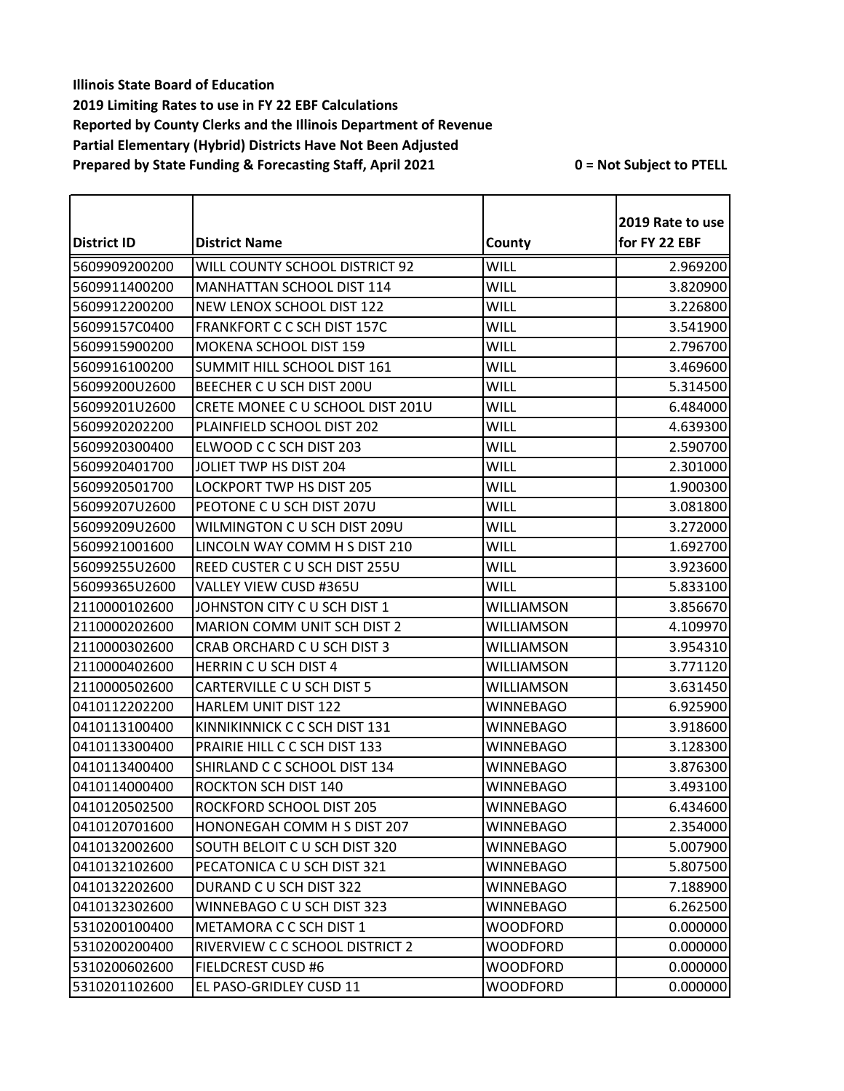|                    |                                  |                   | 2019 Rate to use |
|--------------------|----------------------------------|-------------------|------------------|
| <b>District ID</b> | <b>District Name</b>             | County            | for FY 22 EBF    |
| 5609909200200      | WILL COUNTY SCHOOL DISTRICT 92   | <b>WILL</b>       | 2.969200         |
| 5609911400200      | MANHATTAN SCHOOL DIST 114        | <b>WILL</b>       | 3.820900         |
| 5609912200200      | NEW LENOX SCHOOL DIST 122        | <b>WILL</b>       | 3.226800         |
| 56099157C0400      | FRANKFORT C C SCH DIST 157C      | <b>WILL</b>       | 3.541900         |
| 5609915900200      | MOKENA SCHOOL DIST 159           | <b>WILL</b>       | 2.796700         |
| 5609916100200      | SUMMIT HILL SCHOOL DIST 161      | <b>WILL</b>       | 3.469600         |
| 56099200U2600      | BEECHER C U SCH DIST 200U        | <b>WILL</b>       | 5.314500         |
| 56099201U2600      | CRETE MONEE C U SCHOOL DIST 201U | WILL              | 6.484000         |
| 5609920202200      | PLAINFIELD SCHOOL DIST 202       | <b>WILL</b>       | 4.639300         |
| 5609920300400      | ELWOOD C C SCH DIST 203          | <b>WILL</b>       | 2.590700         |
| 5609920401700      | JOLIET TWP HS DIST 204           | <b>WILL</b>       | 2.301000         |
| 5609920501700      | LOCKPORT TWP HS DIST 205         | <b>WILL</b>       | 1.900300         |
| 56099207U2600      | PEOTONE C U SCH DIST 207U        | <b>WILL</b>       | 3.081800         |
| 56099209U2600      | WILMINGTON C U SCH DIST 209U     | <b>WILL</b>       | 3.272000         |
| 5609921001600      | LINCOLN WAY COMM H S DIST 210    | WILL              | 1.692700         |
| 56099255U2600      | REED CUSTER C U SCH DIST 255U    | <b>WILL</b>       | 3.923600         |
| 56099365U2600      | VALLEY VIEW CUSD #365U           | <b>WILL</b>       | 5.833100         |
| 2110000102600      | JOHNSTON CITY C U SCH DIST 1     | WILLIAMSON        | 3.856670         |
| 2110000202600      | MARION COMM UNIT SCH DIST 2      | WILLIAMSON        | 4.109970         |
| 2110000302600      | CRAB ORCHARD C U SCH DIST 3      | WILLIAMSON        | 3.954310         |
| 2110000402600      | HERRIN C U SCH DIST 4            | <b>WILLIAMSON</b> | 3.771120         |
| 2110000502600      | CARTERVILLE C U SCH DIST 5       | <b>WILLIAMSON</b> | 3.631450         |
| 0410112202200      | HARLEM UNIT DIST 122             | <b>WINNEBAGO</b>  | 6.925900         |
| 0410113100400      | KINNIKINNICK C C SCH DIST 131    | <b>WINNEBAGO</b>  | 3.918600         |
| 0410113300400      | PRAIRIE HILL C C SCH DIST 133    | <b>WINNEBAGO</b>  | 3.128300         |
| 0410113400400      | SHIRLAND C C SCHOOL DIST 134     | <b>WINNEBAGO</b>  | 3.876300         |
| 0410114000400      | <b>ROCKTON SCH DIST 140</b>      | WINNEBAGO         | 3.493100         |
| 0410120502500      | ROCKFORD SCHOOL DIST 205         | WINNEBAGO         | 6.434600         |
| 0410120701600      | HONONEGAH COMM H S DIST 207      | <b>WINNEBAGO</b>  | 2.354000         |
| 0410132002600      | SOUTH BELOIT C U SCH DIST 320    | <b>WINNEBAGO</b>  | 5.007900         |
| 0410132102600      | PECATONICA C U SCH DIST 321      | WINNEBAGO         | 5.807500         |
| 0410132202600      | DURAND C U SCH DIST 322          | <b>WINNEBAGO</b>  | 7.188900         |
| 0410132302600      | WINNEBAGO C U SCH DIST 323       | WINNEBAGO         | 6.262500         |
| 5310200100400      | METAMORA C C SCH DIST 1          | <b>WOODFORD</b>   | 0.000000         |
| 5310200200400      | RIVERVIEW C C SCHOOL DISTRICT 2  | <b>WOODFORD</b>   | 0.000000         |
| 5310200602600      | <b>FIELDCREST CUSD #6</b>        | <b>WOODFORD</b>   | 0.000000         |
| 5310201102600      | EL PASO-GRIDLEY CUSD 11          | <b>WOODFORD</b>   | 0.000000         |